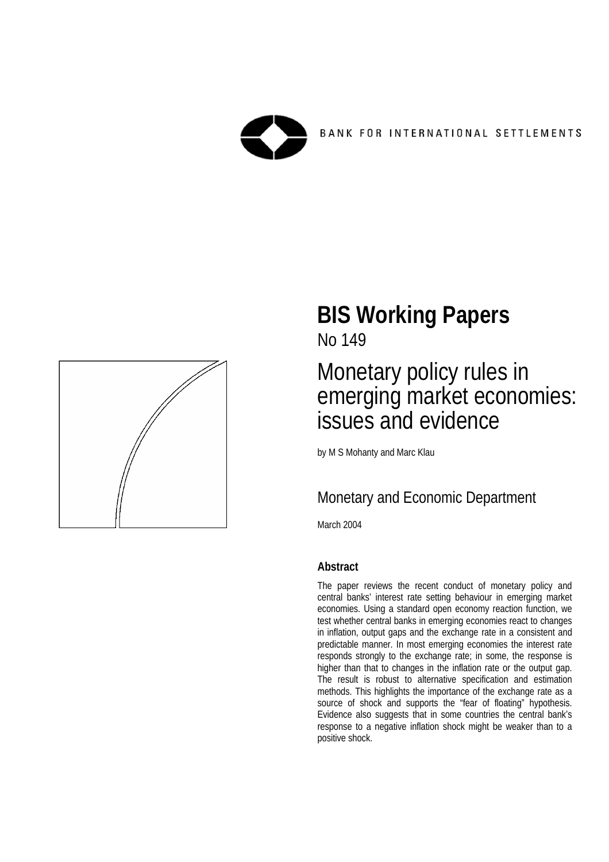



## **BIS Working Papers**  No 149

## Monetary policy rules in emerging market economies: issues and evidence

by M S Mohanty and Marc Klau

## Monetary and Economic Department

March 2004

## **Abstract**

The paper reviews the recent conduct of monetary policy and central banks' interest rate setting behaviour in emerging market economies. Using a standard open economy reaction function, we test whether central banks in emerging economies react to changes in inflation, output gaps and the exchange rate in a consistent and predictable manner. In most emerging economies the interest rate responds strongly to the exchange rate; in some, the response is higher than that to changes in the inflation rate or the output gap. The result is robust to alternative specification and estimation methods. This highlights the importance of the exchange rate as a source of shock and supports the "fear of floating" hypothesis. Evidence also suggests that in some countries the central bank's response to a negative inflation shock might be weaker than to a positive shock.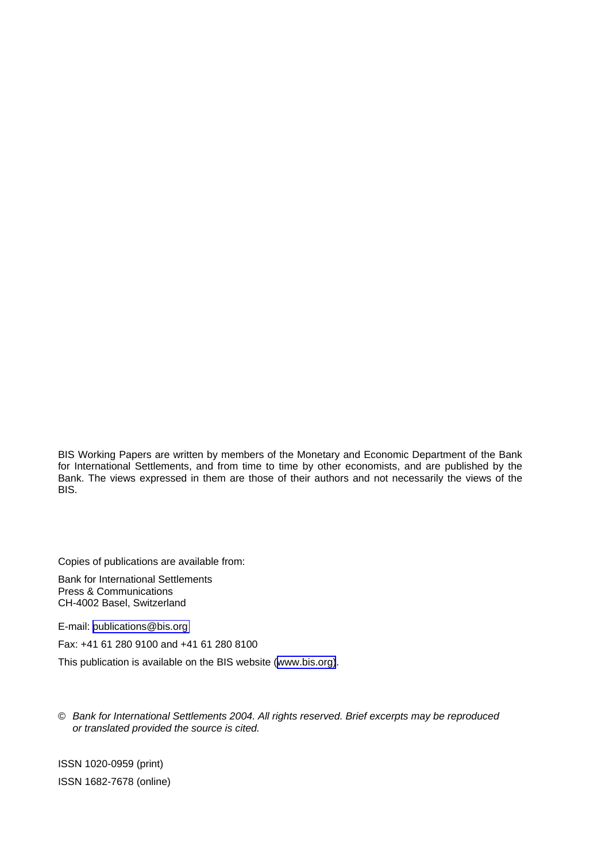BIS Working Papers are written by members of the Monetary and Economic Department of the Bank for International Settlements, and from time to time by other economists, and are published by the Bank. The views expressed in them are those of their authors and not necessarily the views of the BIS.

Copies of publications are available from:

Bank for International Settlements Press & Communications CH-4002 Basel, Switzerland

E-mail: [publications@bis.org](mailto:publications@bis.org) 

Fax: +41 61 280 9100 and +41 61 280 8100

This publication is available on the BIS website ([www.bis.org\)](http://www.bis.org/).

© *Bank for International Settlements 2004. All rights reserved. Brief excerpts may be reproduced or translated provided the source is cited.* 

ISSN 1020-0959 (print) ISSN 1682-7678 (online)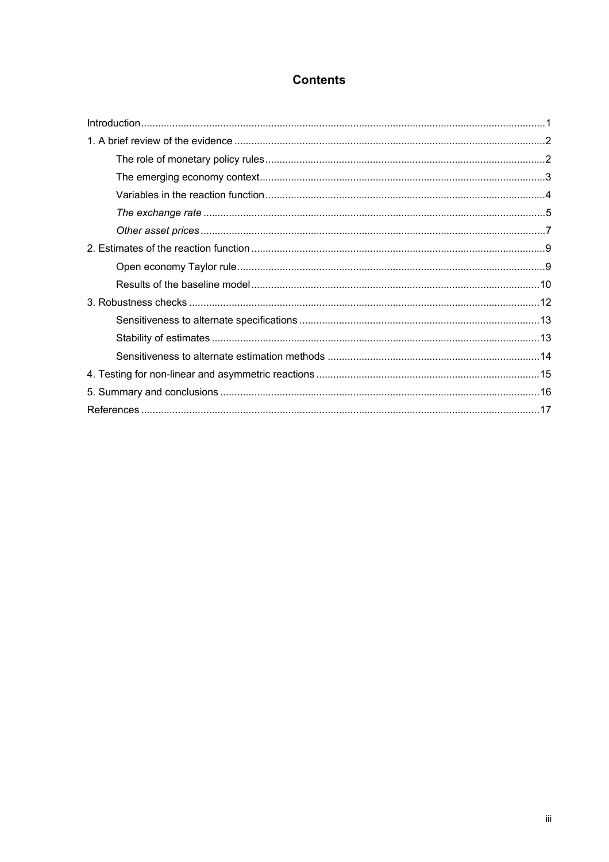### **Contents**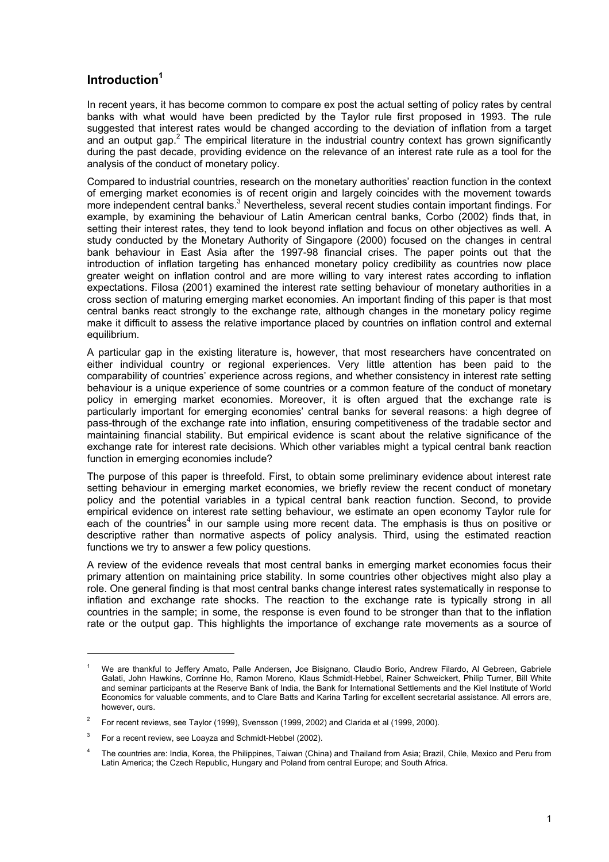### **Introduction1**

In recent years, it has become common to compare ex post the actual setting of policy rates by central banks with what would have been predicted by the Taylor rule first proposed in 1993. The rule suggested that interest rates would be changed according to the deviation of inflation from a target and an output gap.<sup>2</sup> The empirical literature in the industrial country context has grown significantly during the past decade, providing evidence on the relevance of an interest rate rule as a tool for the analysis of the conduct of monetary policy.

Compared to industrial countries, research on the monetary authorities' reaction function in the context of emerging market economies is of recent origin and largely coincides with the movement towards more independent central banks.<sup>3</sup> Nevertheless, several recent studies contain important findings. For example, by examining the behaviour of Latin American central banks, Corbo (2002) finds that, in setting their interest rates, they tend to look beyond inflation and focus on other objectives as well. A study conducted by the Monetary Authority of Singapore (2000) focused on the changes in central bank behaviour in East Asia after the 1997-98 financial crises. The paper points out that the introduction of inflation targeting has enhanced monetary policy credibility as countries now place greater weight on inflation control and are more willing to vary interest rates according to inflation expectations. Filosa (2001) examined the interest rate setting behaviour of monetary authorities in a cross section of maturing emerging market economies. An important finding of this paper is that most central banks react strongly to the exchange rate, although changes in the monetary policy regime make it difficult to assess the relative importance placed by countries on inflation control and external equilibrium.

A particular gap in the existing literature is, however, that most researchers have concentrated on either individual country or regional experiences. Very little attention has been paid to the comparability of countries' experience across regions, and whether consistency in interest rate setting behaviour is a unique experience of some countries or a common feature of the conduct of monetary policy in emerging market economies. Moreover, it is often argued that the exchange rate is particularly important for emerging economies' central banks for several reasons: a high degree of pass-through of the exchange rate into inflation, ensuring competitiveness of the tradable sector and maintaining financial stability. But empirical evidence is scant about the relative significance of the exchange rate for interest rate decisions. Which other variables might a typical central bank reaction function in emerging economies include?

The purpose of this paper is threefold. First, to obtain some preliminary evidence about interest rate setting behaviour in emerging market economies, we briefly review the recent conduct of monetary policy and the potential variables in a typical central bank reaction function. Second, to provide empirical evidence on interest rate setting behaviour, we estimate an open economy Taylor rule for each of the countries<sup>4</sup> in our sample using more recent data. The emphasis is thus on positive or descriptive rather than normative aspects of policy analysis. Third, using the estimated reaction functions we try to answer a few policy questions.

A review of the evidence reveals that most central banks in emerging market economies focus their primary attention on maintaining price stability. In some countries other objectives might also play a role. One general finding is that most central banks change interest rates systematically in response to inflation and exchange rate shocks. The reaction to the exchange rate is typically strong in all countries in the sample; in some, the response is even found to be stronger than that to the inflation rate or the output gap. This highlights the importance of exchange rate movements as a source of

<sup>1</sup> We are thankful to Jeffery Amato, Palle Andersen, Joe Bisignano, Claudio Borio, Andrew Filardo, Al Gebreen, Gabriele Galati, John Hawkins, Corrinne Ho, Ramon Moreno, Klaus Schmidt-Hebbel, Rainer Schweickert, Philip Turner, Bill White and seminar participants at the Reserve Bank of India, the Bank for International Settlements and the Kiel Institute of World Economics for valuable comments, and to Clare Batts and Karina Tarling for excellent secretarial assistance. All errors are, however, ours.

<sup>2</sup> For recent reviews, see Taylor (1999), Svensson (1999, 2002) and Clarida et al (1999, 2000).

<sup>3</sup> For a recent review, see Loayza and Schmidt-Hebbel (2002).

<sup>4</sup> The countries are: India, Korea, the Philippines, Taiwan (China) and Thailand from Asia; Brazil, Chile, Mexico and Peru from Latin America; the Czech Republic, Hungary and Poland from central Europe; and South Africa.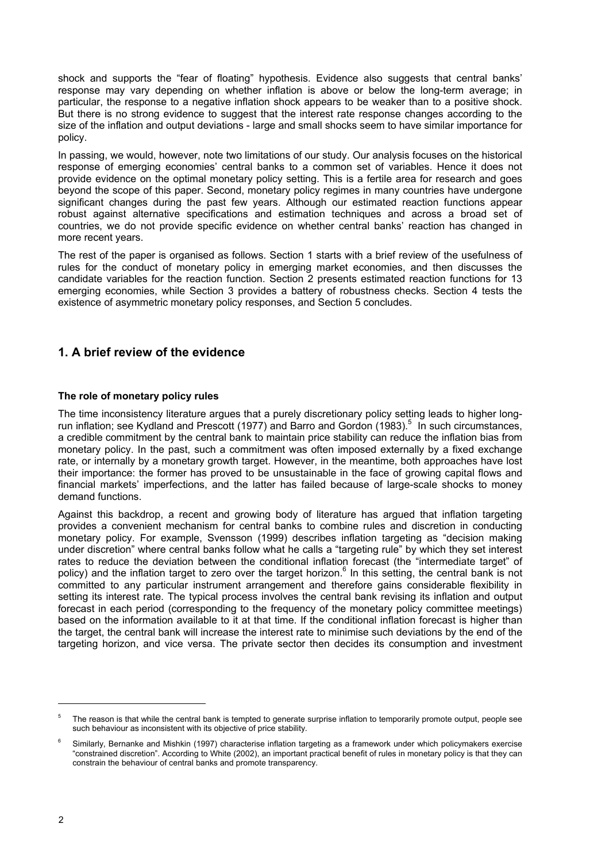shock and supports the "fear of floating" hypothesis. Evidence also suggests that central banks' response may vary depending on whether inflation is above or below the long-term average; in particular, the response to a negative inflation shock appears to be weaker than to a positive shock. But there is no strong evidence to suggest that the interest rate response changes according to the size of the inflation and output deviations - large and small shocks seem to have similar importance for policy.

In passing, we would, however, note two limitations of our study. Our analysis focuses on the historical response of emerging economies' central banks to a common set of variables. Hence it does not provide evidence on the optimal monetary policy setting. This is a fertile area for research and goes beyond the scope of this paper. Second, monetary policy regimes in many countries have undergone significant changes during the past few years. Although our estimated reaction functions appear robust against alternative specifications and estimation techniques and across a broad set of countries, we do not provide specific evidence on whether central banks' reaction has changed in more recent years.

The rest of the paper is organised as follows. Section 1 starts with a brief review of the usefulness of rules for the conduct of monetary policy in emerging market economies, and then discusses the candidate variables for the reaction function. Section 2 presents estimated reaction functions for 13 emerging economies, while Section 3 provides a battery of robustness checks. Section 4 tests the existence of asymmetric monetary policy responses, and Section 5 concludes.

#### **1. A brief review of the evidence**

#### **The role of monetary policy rules**

The time inconsistency literature argues that a purely discretionary policy setting leads to higher longrun inflation; see Kydland and Prescott (1977) and Barro and Gordon (1983).<sup>5</sup> In such circumstances, a credible commitment by the central bank to maintain price stability can reduce the inflation bias from monetary policy. In the past, such a commitment was often imposed externally by a fixed exchange rate, or internally by a monetary growth target. However, in the meantime, both approaches have lost their importance: the former has proved to be unsustainable in the face of growing capital flows and financial markets' imperfections, and the latter has failed because of large-scale shocks to money demand functions.

Against this backdrop, a recent and growing body of literature has argued that inflation targeting provides a convenient mechanism for central banks to combine rules and discretion in conducting monetary policy. For example, Svensson (1999) describes inflation targeting as "decision making under discretion" where central banks follow what he calls a "targeting rule" by which they set interest rates to reduce the deviation between the conditional inflation forecast (the "intermediate target" of policy) and the inflation target to zero over the target horizon.<sup>6</sup> In this setting, the central bank is not committed to any particular instrument arrangement and therefore gains considerable flexibility in setting its interest rate. The typical process involves the central bank revising its inflation and output forecast in each period (corresponding to the frequency of the monetary policy committee meetings) based on the information available to it at that time. If the conditional inflation forecast is higher than the target, the central bank will increase the interest rate to minimise such deviations by the end of the targeting horizon, and vice versa. The private sector then decides its consumption and investment

<sup>5</sup> The reason is that while the central bank is tempted to generate surprise inflation to temporarily promote output, people see such behaviour as inconsistent with its objective of price stability.

<sup>6</sup> Similarly, Bernanke and Mishkin (1997) characterise inflation targeting as a framework under which policymakers exercise "constrained discretion". According to White (2002), an important practical benefit of rules in monetary policy is that they can constrain the behaviour of central banks and promote transparency.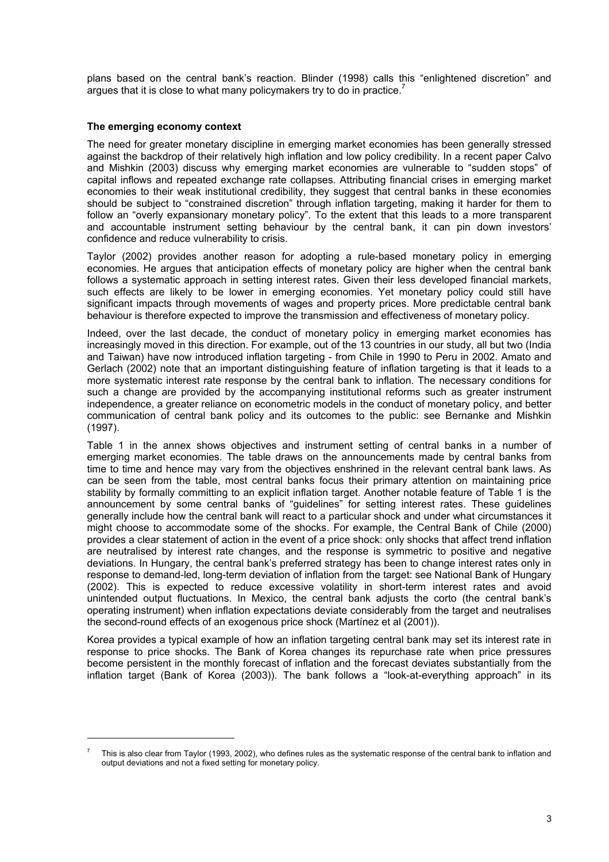plans based on the central bank's reaction. Blinder (1998) calls this "enlightened discretion" and argues that it is close to what many policymakers try to do in practice.<sup>7</sup>

#### **The emerging economy context**

l

The need for greater monetary discipline in emerging market economies has been generally stressed against the backdrop of their relatively high inflation and low policy credibility. In a recent paper Calvo and Mishkin (2003) discuss why emerging market economies are vulnerable to "sudden stops" of capital inflows and repeated exchange rate collapses. Attributing financial crises in emerging market economies to their weak institutional credibility, they suggest that central banks in these economies should be subject to "constrained discretion" through inflation targeting, making it harder for them to follow an "overly expansionary monetary policy". To the extent that this leads to a more transparent and accountable instrument setting behaviour by the central bank, it can pin down investors' confidence and reduce vulnerability to crisis.

Taylor (2002) provides another reason for adopting a rule-based monetary policy in emerging economies. He argues that anticipation effects of monetary policy are higher when the central bank follows a systematic approach in setting interest rates. Given their less developed financial markets, such effects are likely to be lower in emerging economies. Yet monetary policy could still have significant impacts through movements of wages and property prices. More predictable central bank behaviour is therefore expected to improve the transmission and effectiveness of monetary policy.

Indeed, over the last decade, the conduct of monetary policy in emerging market economies has increasingly moved in this direction. For example, out of the 13 countries in our study, all but two (India and Taiwan) have now introduced inflation targeting - from Chile in 1990 to Peru in 2002. Amato and Gerlach (2002) note that an important distinguishing feature of inflation targeting is that it leads to a more systematic interest rate response by the central bank to inflation. The necessary conditions for such a change are provided by the accompanying institutional reforms such as greater instrument independence, a greater reliance on econometric models in the conduct of monetary policy, and better communication of central bank policy and its outcomes to the public: see Bernanke and Mishkin (1997).

Table 1 in the annex shows objectives and instrument setting of central banks in a number of emerging market economies. The table draws on the announcements made by central banks from time to time and hence may vary from the objectives enshrined in the relevant central bank laws. As can be seen from the table, most central banks focus their primary attention on maintaining price stability by formally committing to an explicit inflation target. Another notable feature of Table 1 is the announcement by some central banks of "guidelines" for setting interest rates. These guidelines generally include how the central bank will react to a particular shock and under what circumstances it might choose to accommodate some of the shocks. For example, the Central Bank of Chile (2000) provides a clear statement of action in the event of a price shock: only shocks that affect trend inflation are neutralised by interest rate changes, and the response is symmetric to positive and negative deviations. In Hungary, the central bank's preferred strategy has been to change interest rates only in response to demand-led, long-term deviation of inflation from the target: see National Bank of Hungary (2002). This is expected to reduce excessive volatility in short-term interest rates and avoid unintended output fluctuations. In Mexico, the central bank adjusts the corto (the central bank's operating instrument) when inflation expectations deviate considerably from the target and neutralises the second-round effects of an exogenous price shock (Martínez et al (2001)).

Korea provides a typical example of how an inflation targeting central bank may set its interest rate in response to price shocks. The Bank of Korea changes its repurchase rate when price pressures become persistent in the monthly forecast of inflation and the forecast deviates substantially from the inflation target (Bank of Korea (2003)). The bank follows a "look-at-everything approach" in its

<sup>7</sup> This is also clear from Taylor (1993, 2002), who defines rules as the systematic response of the central bank to inflation and output deviations and not a fixed setting for monetary policy.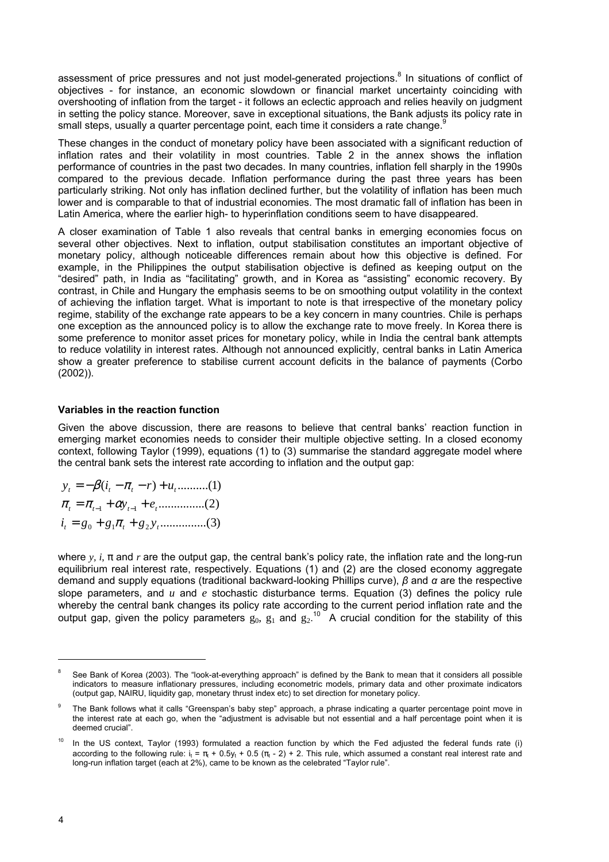assessment of price pressures and not just model-generated projections.<sup>8</sup> In situations of conflict of objectives - for instance, an economic slowdown or financial market uncertainty coinciding with overshooting of inflation from the target - it follows an eclectic approach and relies heavily on judgment in setting the policy stance. Moreover, save in exceptional situations, the Bank adjusts its policy rate in small steps, usually a quarter percentage point, each time it considers a rate change.<sup>9</sup>

These changes in the conduct of monetary policy have been associated with a significant reduction of inflation rates and their volatility in most countries. Table 2 in the annex shows the inflation performance of countries in the past two decades. In many countries, inflation fell sharply in the 1990s compared to the previous decade. Inflation performance during the past three years has been particularly striking. Not only has inflation declined further, but the volatility of inflation has been much lower and is comparable to that of industrial economies. The most dramatic fall of inflation has been in Latin America, where the earlier high- to hyperinflation conditions seem to have disappeared.

A closer examination of Table 1 also reveals that central banks in emerging economies focus on several other objectives. Next to inflation, output stabilisation constitutes an important objective of monetary policy, although noticeable differences remain about how this objective is defined. For example, in the Philippines the output stabilisation objective is defined as keeping output on the "desired" path, in India as "facilitating" growth, and in Korea as "assisting" economic recovery. By contrast, in Chile and Hungary the emphasis seems to be on smoothing output volatility in the context of achieving the inflation target. What is important to note is that irrespective of the monetary policy regime, stability of the exchange rate appears to be a key concern in many countries. Chile is perhaps one exception as the announced policy is to allow the exchange rate to move freely. In Korea there is some preference to monitor asset prices for monetary policy, while in India the central bank attempts to reduce volatility in interest rates. Although not announced explicitly, central banks in Latin America show a greater preference to stabilise current account deficits in the balance of payments (Corbo (2002)).

#### **Variables in the reaction function**

Given the above discussion, there are reasons to believe that central banks' reaction function in emerging market economies needs to consider their multiple objective setting. In a closed economy context, following Taylor (1999), equations (1) to (3) summarise the standard aggregate model where the central bank sets the interest rate according to inflation and the output gap:

...............(3) 0 1 2 *t t t i g g g y* = + + π ...............(2) 1 1 *t t t t y e* = + + − − π π α  $y_t = -\beta(i_t - \pi_t - r) + u_t$ ...........(1)

where *y, i*, π and *r* are the output gap, the central bank's policy rate, the inflation rate and the long-run equilibrium real interest rate, respectively. Equations (1) and (2) are the closed economy aggregate demand and supply equations (traditional backward-looking Phillips curve), *β* and *α* are the respective slope parameters, and *u* and *e* stochastic disturbance terms. Equation (3) defines the policy rule whereby the central bank changes its policy rate according to the current period inflation rate and the output gap, given the policy parameters  $g_0$ ,  $g_1$  and  $g_2$ .<sup>10</sup> A crucial condition for the stability of this

<sup>8</sup> See Bank of Korea (2003). The "look-at-everything approach" is defined by the Bank to mean that it considers all possible indicators to measure inflationary pressures, including econometric models, primary data and other proximate indicators (output gap, NAIRU, liquidity gap, monetary thrust index etc) to set direction for monetary policy.

<sup>9</sup> The Bank follows what it calls "Greenspan's baby step" approach, a phrase indicating a quarter percentage point move in the interest rate at each go, when the "adjustment is advisable but not essential and a half percentage point when it is deemed crucial".

 $10$  In the US context, Taylor (1993) formulated a reaction function by which the Fed adjusted the federal funds rate (i) according to the following rule: i<sub>t</sub> =  $\pi$  + 0.5 $\mu$  + 0.5 ( $\pi$  - 2) + 2. This rule, which assumed a constant real interest rate and long-run inflation target (each at 2%), came to be known as the celebrated "Taylor rule".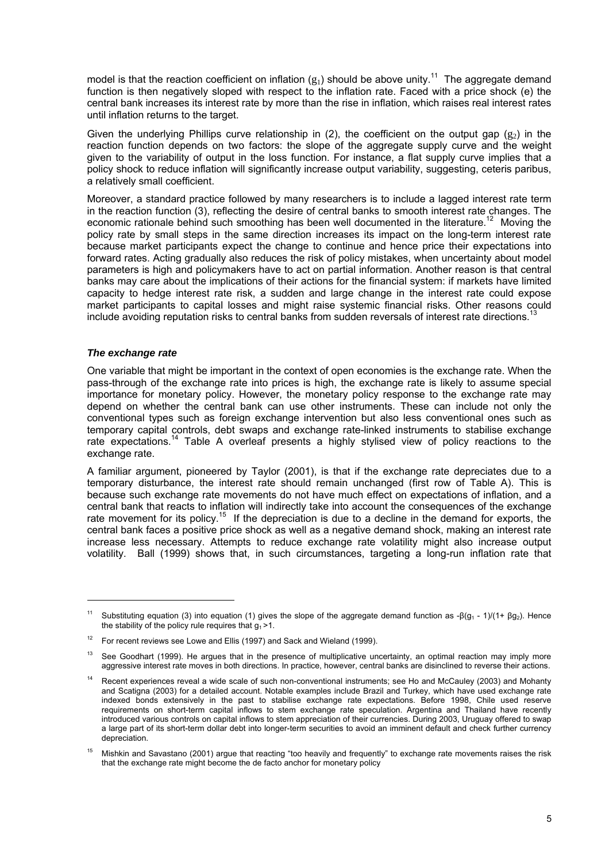model is that the reaction coefficient on inflation  $(g_1)$  should be above unity.<sup>11</sup> The aggregate demand function is then negatively sloped with respect to the inflation rate. Faced with a price shock (e) the central bank increases its interest rate by more than the rise in inflation, which raises real interest rates until inflation returns to the target.

Given the underlying Phillips curve relationship in (2), the coefficient on the output gap ( $g_2$ ) in the reaction function depends on two factors: the slope of the aggregate supply curve and the weight given to the variability of output in the loss function. For instance, a flat supply curve implies that a policy shock to reduce inflation will significantly increase output variability, suggesting, ceteris paribus, a relatively small coefficient.

Moreover, a standard practice followed by many researchers is to include a lagged interest rate term in the reaction function (3), reflecting the desire of central banks to smooth interest rate changes. The economic rationale behind such smoothing has been well documented in the literature.<sup>12</sup> Moving the policy rate by small steps in the same direction increases its impact on the long-term interest rate because market participants expect the change to continue and hence price their expectations into forward rates. Acting gradually also reduces the risk of policy mistakes, when uncertainty about model parameters is high and policymakers have to act on partial information. Another reason is that central banks may care about the implications of their actions for the financial system: if markets have limited capacity to hedge interest rate risk, a sudden and large change in the interest rate could expose market participants to capital losses and might raise systemic financial risks. Other reasons could include avoiding reputation risks to central banks from sudden reversals of interest rate directions.<sup>1</sup>

#### *The exchange rate*

 $\overline{a}$ 

One variable that might be important in the context of open economies is the exchange rate. When the pass-through of the exchange rate into prices is high, the exchange rate is likely to assume special importance for monetary policy. However, the monetary policy response to the exchange rate may depend on whether the central bank can use other instruments. These can include not only the conventional types such as foreign exchange intervention but also less conventional ones such as temporary capital controls, debt swaps and exchange rate-linked instruments to stabilise exchange rate expectations.<sup>14</sup> Table A overleaf presents a highly stylised view of policy reactions to the exchange rate.

A familiar argument, pioneered by Taylor (2001), is that if the exchange rate depreciates due to a temporary disturbance, the interest rate should remain unchanged (first row of Table A). This is because such exchange rate movements do not have much effect on expectations of inflation, and a central bank that reacts to inflation will indirectly take into account the consequences of the exchange rate movement for its policy.<sup>15</sup> If the depreciation is due to a decline in the demand for exports, the central bank faces a positive price shock as well as a negative demand shock, making an interest rate increase less necessary. Attempts to reduce exchange rate volatility might also increase output volatility. Ball (1999) shows that, in such circumstances, targeting a long-run inflation rate that

<sup>&</sup>lt;sup>11</sup> Substituting equation (3) into equation (1) gives the slope of the aggregate demand function as -β(g<sub>1</sub> - 1)/(1+ βg<sub>2</sub>). Hence the stability of the policy rule requires that  $g_1 > 1$ .

For recent reviews see Lowe and Ellis (1997) and Sack and Wieland (1999).

 $13$  See Goodhart (1999). He argues that in the presence of multiplicative uncertainty, an optimal reaction may imply more aggressive interest rate moves in both directions. In practice, however, central banks are disinclined to reverse their actions.

Recent experiences reveal a wide scale of such non-conventional instruments; see Ho and McCauley (2003) and Mohanty and Scatigna (2003) for a detailed account. Notable examples include Brazil and Turkey, which have used exchange rate indexed bonds extensively in the past to stabilise exchange rate expectations. Before 1998, Chile used reserve requirements on short-term capital inflows to stem exchange rate speculation. Argentina and Thailand have recently introduced various controls on capital inflows to stem appreciation of their currencies. During 2003, Uruguay offered to swap a large part of its short-term dollar debt into longer-term securities to avoid an imminent default and check further currency depreciation.

<sup>15</sup> Mishkin and Savastano (2001) argue that reacting "too heavily and frequently" to exchange rate movements raises the risk that the exchange rate might become the de facto anchor for monetary policy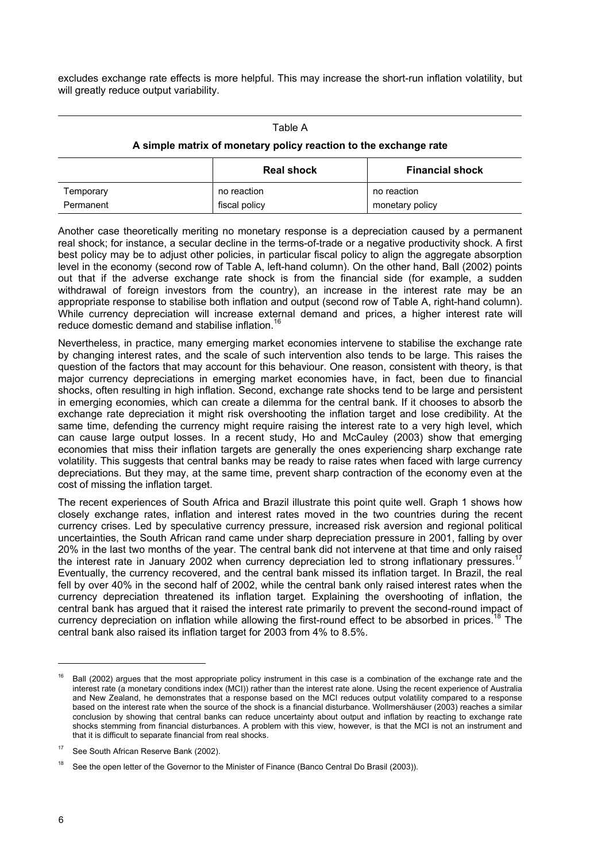excludes exchange rate effects is more helpful. This may increase the short-run inflation volatility, but will greatly reduce output variability.

#### Table A

#### **A simple matrix of monetary policy reaction to the exchange rate**

|           | <b>Real shock</b> | <b>Financial shock</b> |
|-----------|-------------------|------------------------|
| Temporary | no reaction       | no reaction            |
| Permanent | fiscal policy     | monetary policy        |

Another case theoretically meriting no monetary response is a depreciation caused by a permanent real shock; for instance, a secular decline in the terms-of-trade or a negative productivity shock. A first best policy may be to adjust other policies, in particular fiscal policy to align the aggregate absorption level in the economy (second row of Table A, left-hand column). On the other hand, Ball (2002) points out that if the adverse exchange rate shock is from the financial side (for example, a sudden withdrawal of foreign investors from the country), an increase in the interest rate may be an appropriate response to stabilise both inflation and output (second row of Table A, right-hand column). While currency depreciation will increase external demand and prices, a higher interest rate will reduce domestic demand and stabilise inflation.16

Nevertheless, in practice, many emerging market economies intervene to stabilise the exchange rate by changing interest rates, and the scale of such intervention also tends to be large. This raises the question of the factors that may account for this behaviour. One reason, consistent with theory, is that major currency depreciations in emerging market economies have, in fact, been due to financial shocks, often resulting in high inflation. Second, exchange rate shocks tend to be large and persistent in emerging economies, which can create a dilemma for the central bank. If it chooses to absorb the exchange rate depreciation it might risk overshooting the inflation target and lose credibility. At the same time, defending the currency might require raising the interest rate to a very high level, which can cause large output losses. In a recent study, Ho and McCauley (2003) show that emerging economies that miss their inflation targets are generally the ones experiencing sharp exchange rate volatility. This suggests that central banks may be ready to raise rates when faced with large currency depreciations. But they may, at the same time, prevent sharp contraction of the economy even at the cost of missing the inflation target.

The recent experiences of South Africa and Brazil illustrate this point quite well. Graph 1 shows how closely exchange rates, inflation and interest rates moved in the two countries during the recent currency crises. Led by speculative currency pressure, increased risk aversion and regional political uncertainties, the South African rand came under sharp depreciation pressure in 2001, falling by over 20% in the last two months of the year. The central bank did not intervene at that time and only raised the interest rate in January 2002 when currency depreciation led to strong inflationary pressures. Eventually, the currency recovered, and the central bank missed its inflation target. In Brazil, the real fell by over 40% in the second half of 2002, while the central bank only raised interest rates when the currency depreciation threatened its inflation target. Explaining the overshooting of inflation, the central bank has argued that it raised the interest rate primarily to prevent the second-round impact of currency depreciation on inflation while allowing the first-round effect to be absorbed in prices.<sup>18</sup> The central bank also raised its inflation target for 2003 from 4% to 8.5%.

 $16$  Ball (2002) argues that the most appropriate policy instrument in this case is a combination of the exchange rate and the interest rate (a monetary conditions index (MCI)) rather than the interest rate alone. Using the recent experience of Australia and New Zealand, he demonstrates that a response based on the MCI reduces output volatility compared to a response based on the interest rate when the source of the shock is a financial disturbance. Wollmershäuser (2003) reaches a similar conclusion by showing that central banks can reduce uncertainty about output and inflation by reacting to exchange rate shocks stemming from financial disturbances. A problem with this view, however, is that the MCI is not an instrument and that it is difficult to separate financial from real shocks.

<sup>&</sup>lt;sup>17</sup> See South African Reserve Bank (2002).

See the open letter of the Governor to the Minister of Finance (Banco Central Do Brasil (2003)).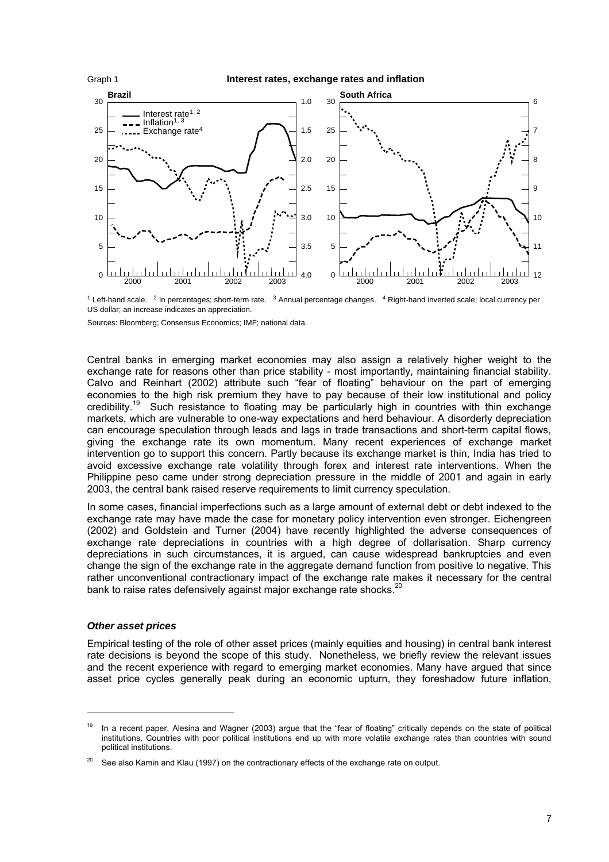

 $1$  Left-hand scale.  $2$  In percentages; short-term rate.  $3$  Annual percentage changes.  $4$  Right-hand inverted scale; local currency per US dollar; an increase indicates an appreciation.

Sources: Bloomberg; Consensus Economics; IMF; national data.

Central banks in emerging market economies may also assign a relatively higher weight to the exchange rate for reasons other than price stability - most importantly, maintaining financial stability. Calvo and Reinhart (2002) attribute such "fear of floating" behaviour on the part of emerging economies to the high risk premium they have to pay because of their low institutional and policy credibility.<sup>19</sup> Such resistance to floating may be particularly high in countries with thin exchange markets, which are vulnerable to one-way expectations and herd behaviour. A disorderly depreciation can encourage speculation through leads and lags in trade transactions and short-term capital flows, giving the exchange rate its own momentum. Many recent experiences of exchange market intervention go to support this concern. Partly because its exchange market is thin, India has tried to avoid excessive exchange rate volatility through forex and interest rate interventions. When the Philippine peso came under strong depreciation pressure in the middle of 2001 and again in early 2003, the central bank raised reserve requirements to limit currency speculation.

In some cases, financial imperfections such as a large amount of external debt or debt indexed to the exchange rate may have made the case for monetary policy intervention even stronger. Eichengreen (2002) and Goldstein and Turner (2004) have recently highlighted the adverse consequences of exchange rate depreciations in countries with a high degree of dollarisation. Sharp currency depreciations in such circumstances, it is argued, can cause widespread bankruptcies and even change the sign of the exchange rate in the aggregate demand function from positive to negative. This rather unconventional contractionary impact of the exchange rate makes it necessary for the central bank to raise rates defensively against major exchange rate shocks.<sup>20</sup>

#### *Other asset prices*

l

Empirical testing of the role of other asset prices (mainly equities and housing) in central bank interest rate decisions is beyond the scope of this study. Nonetheless, we briefly review the relevant issues and the recent experience with regard to emerging market economies. Many have argued that since asset price cycles generally peak during an economic upturn, they foreshadow future inflation,

<sup>&</sup>lt;sup>19</sup> In a recent paper, Alesina and Wagner (2003) argue that the "fear of floating" critically depends on the state of political institutions. Countries with poor political institutions end up with more volatile exchange rates than countries with sound political institutions.

 $20$  See also Kamin and Klau (1997) on the contractionary effects of the exchange rate on output.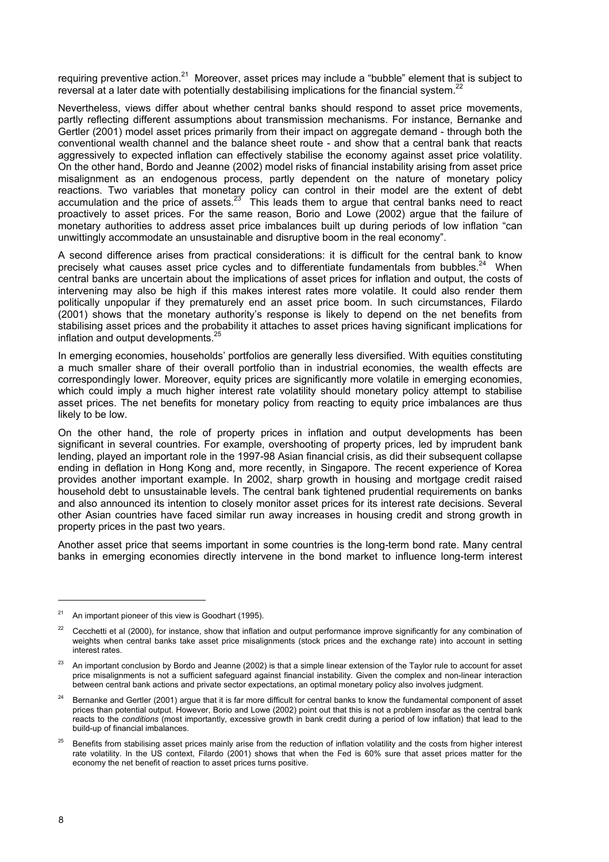requiring preventive action.<sup>21</sup> Moreover, asset prices may include a "bubble" element that is subject to reversal at a later date with potentially destabilising implications for the financial system.<sup>22</sup>

Nevertheless, views differ about whether central banks should respond to asset price movements, partly reflecting different assumptions about transmission mechanisms. For instance, Bernanke and Gertler (2001) model asset prices primarily from their impact on aggregate demand - through both the conventional wealth channel and the balance sheet route - and show that a central bank that reacts aggressively to expected inflation can effectively stabilise the economy against asset price volatility. On the other hand, Bordo and Jeanne (2002) model risks of financial instability arising from asset price misalignment as an endogenous process, partly dependent on the nature of monetary policy reactions. Two variables that monetary policy can control in their model are the extent of debt accumulation and the price of assets.<sup>23</sup> This leads them to argue that central banks need to react proactively to asset prices. For the same reason, Borio and Lowe (2002) argue that the failure of monetary authorities to address asset price imbalances built up during periods of low inflation "can unwittingly accommodate an unsustainable and disruptive boom in the real economy".

A second difference arises from practical considerations: it is difficult for the central bank to know precisely what causes asset price cycles and to differentiate fundamentals from bubbles. $^{24}$  When central banks are uncertain about the implications of asset prices for inflation and output, the costs of intervening may also be high if this makes interest rates more volatile. It could also render them politically unpopular if they prematurely end an asset price boom. In such circumstances, Filardo (2001) shows that the monetary authority's response is likely to depend on the net benefits from stabilising asset prices and the probability it attaches to asset prices having significant implications for inflation and output developments.<sup>25</sup>

In emerging economies, households' portfolios are generally less diversified. With equities constituting a much smaller share of their overall portfolio than in industrial economies, the wealth effects are correspondingly lower. Moreover, equity prices are significantly more volatile in emerging economies, which could imply a much higher interest rate volatility should monetary policy attempt to stabilise asset prices. The net benefits for monetary policy from reacting to equity price imbalances are thus likely to be low.

On the other hand, the role of property prices in inflation and output developments has been significant in several countries. For example, overshooting of property prices, led by imprudent bank lending, played an important role in the 1997-98 Asian financial crisis, as did their subsequent collapse ending in deflation in Hong Kong and, more recently, in Singapore. The recent experience of Korea provides another important example. In 2002, sharp growth in housing and mortgage credit raised household debt to unsustainable levels. The central bank tightened prudential requirements on banks and also announced its intention to closely monitor asset prices for its interest rate decisions. Several other Asian countries have faced similar run away increases in housing credit and strong growth in property prices in the past two years.

Another asset price that seems important in some countries is the long-term bond rate. Many central banks in emerging economies directly intervene in the bond market to influence long-term interest

 $21$  An important pioneer of this view is Goodhart (1995).

<sup>22</sup> Cecchetti et al (2000), for instance, show that inflation and output performance improve significantly for any combination of weights when central banks take asset price misalignments (stock prices and the exchange rate) into account in setting interest rates.

<sup>&</sup>lt;sup>23</sup> An important conclusion by Bordo and Jeanne (2002) is that a simple linear extension of the Taylor rule to account for asset price misalignments is not a sufficient safeguard against financial instability. Given the complex and non-linear interaction between central bank actions and private sector expectations, an optimal monetary policy also involves judgment.

<sup>24</sup> Bernanke and Gertler (2001) argue that it is far more difficult for central banks to know the fundamental component of asset prices than potential output. However, Borio and Lowe (2002) point out that this is not a problem insofar as the central bank reacts to the *conditions* (most importantly, excessive growth in bank credit during a period of low inflation) that lead to the build-up of financial imbalances.

<sup>25</sup> Benefits from stabilising asset prices mainly arise from the reduction of inflation volatility and the costs from higher interest rate volatility. In the US context, Filardo (2001) shows that when the Fed is 60% sure that asset prices matter for the economy the net benefit of reaction to asset prices turns positive.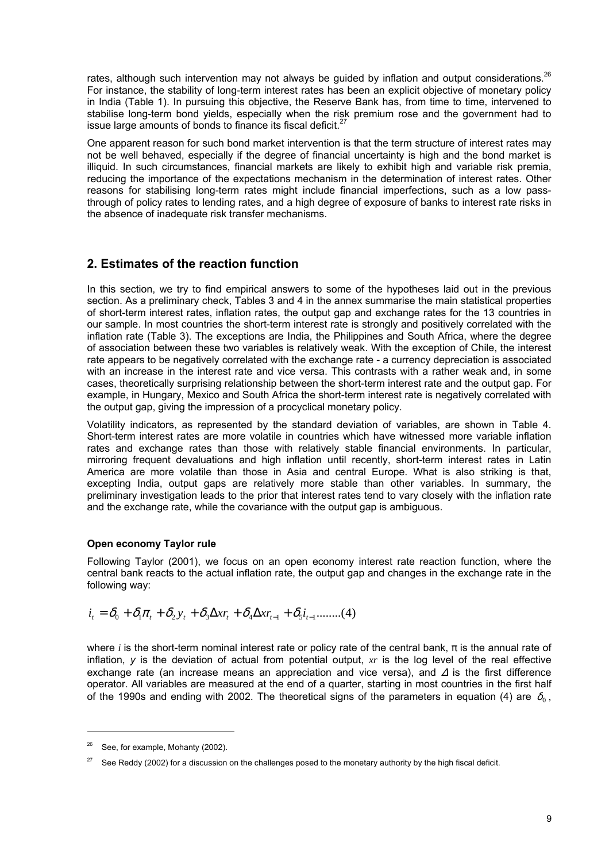rates, although such intervention may not always be guided by inflation and output considerations. $^{26}$ For instance, the stability of long-term interest rates has been an explicit objective of monetary policy in India (Table 1). In pursuing this objective, the Reserve Bank has, from time to time, intervened to stabilise long-term bond yields, especially when the risk premium rose and the government had to issue large amounts of bonds to finance its fiscal deficit. $27$ 

One apparent reason for such bond market intervention is that the term structure of interest rates may not be well behaved, especially if the degree of financial uncertainty is high and the bond market is illiquid. In such circumstances, financial markets are likely to exhibit high and variable risk premia, reducing the importance of the expectations mechanism in the determination of interest rates. Other reasons for stabilising long-term rates might include financial imperfections, such as a low passthrough of policy rates to lending rates, and a high degree of exposure of banks to interest rate risks in the absence of inadequate risk transfer mechanisms.

### **2. Estimates of the reaction function**

In this section, we try to find empirical answers to some of the hypotheses laid out in the previous section. As a preliminary check, Tables 3 and 4 in the annex summarise the main statistical properties of short-term interest rates, inflation rates, the output gap and exchange rates for the 13 countries in our sample. In most countries the short-term interest rate is strongly and positively correlated with the inflation rate (Table 3). The exceptions are India, the Philippines and South Africa, where the degree of association between these two variables is relatively weak. With the exception of Chile, the interest rate appears to be negatively correlated with the exchange rate - a currency depreciation is associated with an increase in the interest rate and vice versa. This contrasts with a rather weak and, in some cases, theoretically surprising relationship between the short-term interest rate and the output gap. For example, in Hungary, Mexico and South Africa the short-term interest rate is negatively correlated with the output gap, giving the impression of a procyclical monetary policy.

Volatility indicators, as represented by the standard deviation of variables, are shown in Table 4. Short-term interest rates are more volatile in countries which have witnessed more variable inflation rates and exchange rates than those with relatively stable financial environments. In particular, mirroring frequent devaluations and high inflation until recently, short-term interest rates in Latin America are more volatile than those in Asia and central Europe. What is also striking is that, excepting India, output gaps are relatively more stable than other variables. In summary, the preliminary investigation leads to the prior that interest rates tend to vary closely with the inflation rate and the exchange rate, while the covariance with the output gap is ambiguous.

#### **Open economy Taylor rule**

Following Taylor (2001), we focus on an open economy interest rate reaction function, where the central bank reacts to the actual inflation rate, the output gap and changes in the exchange rate in the following way:

$$
i_{t} = \delta_{0} + \delta_{1} \pi_{t} + \delta_{2} y_{t} + \delta_{3} \Delta x r_{t} + \delta_{4} \Delta x r_{t-1} + \delta_{5} i_{t-1} \dots \dots (4)
$$

where *i* is the short-term nominal interest rate or policy rate of the central bank,  $\pi$  is the annual rate of inflation, *y* is the deviation of actual from potential output, *xr* is the log level of the real effective exchange rate (an increase means an appreciation and vice versa), and ∆ is the first difference operator. All variables are measured at the end of a quarter, starting in most countries in the first half of the 1990s and ending with 2002. The theoretical signs of the parameters in equation (4) are  $\delta_0$ .

See, for example, Mohanty (2002).

See Reddy (2002) for a discussion on the challenges posed to the monetary authority by the high fiscal deficit.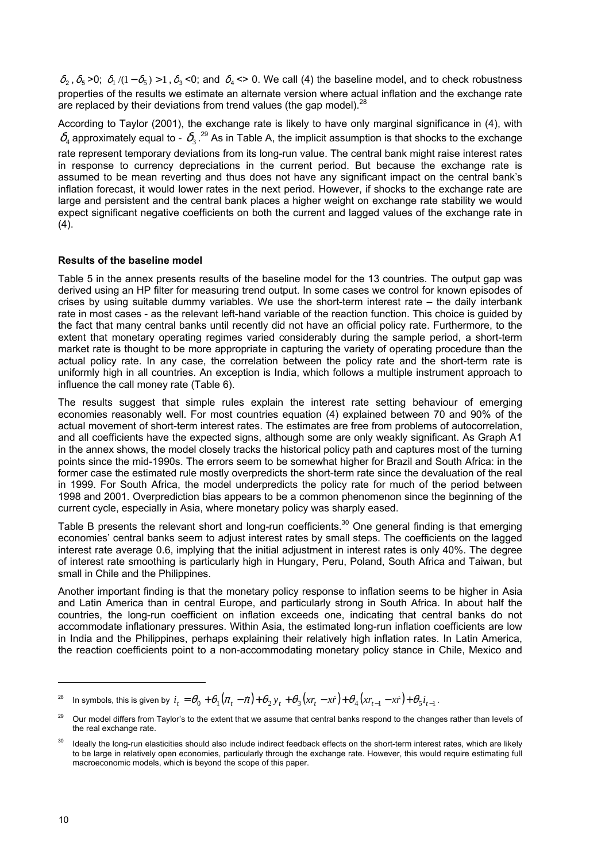$\delta_2$ ,  $\delta_5$  >0;  $\delta_1$  /(1 -  $\delta_5$ ) > 1,  $\delta_3$  <0; and  $\delta_4$  <> 0. We call (4) the baseline model, and to check robustness properties of the results we estimate an alternate version where actual inflation and the exchange rate are replaced by their deviations from trend values (the gap model).  $28$ 

According to Taylor (2001), the exchange rate is likely to have only marginal significance in (4), with  $\delta_{\!4}$  approximately equal to -  $\,\delta_{\!3}$  . $^{29}$  As in Table A, the implicit assumption is that shocks to the exchange rate represent temporary deviations from its long-run value. The central bank might raise interest rates in response to currency depreciations in the current period. But because the exchange rate is assumed to be mean reverting and thus does not have any significant impact on the central bank's inflation forecast, it would lower rates in the next period. However, if shocks to the exchange rate are large and persistent and the central bank places a higher weight on exchange rate stability we would expect significant negative coefficients on both the current and lagged values of the exchange rate in  $(4)$ .

#### **Results of the baseline model**

Table 5 in the annex presents results of the baseline model for the 13 countries. The output gap was derived using an HP filter for measuring trend output. In some cases we control for known episodes of crises by using suitable dummy variables. We use the short-term interest rate – the daily interbank rate in most cases - as the relevant left-hand variable of the reaction function. This choice is guided by the fact that many central banks until recently did not have an official policy rate. Furthermore, to the extent that monetary operating regimes varied considerably during the sample period, a short-term market rate is thought to be more appropriate in capturing the variety of operating procedure than the actual policy rate. In any case, the correlation between the policy rate and the short-term rate is uniformly high in all countries. An exception is India, which follows a multiple instrument approach to influence the call money rate (Table 6).

The results suggest that simple rules explain the interest rate setting behaviour of emerging economies reasonably well. For most countries equation (4) explained between 70 and 90% of the actual movement of short-term interest rates. The estimates are free from problems of autocorrelation, and all coefficients have the expected signs, although some are only weakly significant. As Graph A1 in the annex shows, the model closely tracks the historical policy path and captures most of the turning points since the mid-1990s. The errors seem to be somewhat higher for Brazil and South Africa: in the former case the estimated rule mostly overpredicts the short-term rate since the devaluation of the real in 1999. For South Africa, the model underpredicts the policy rate for much of the period between 1998 and 2001. Overprediction bias appears to be a common phenomenon since the beginning of the current cycle, especially in Asia, where monetary policy was sharply eased.

Table B presents the relevant short and long-run coefficients.<sup>30</sup> One general finding is that emerging economies' central banks seem to adjust interest rates by small steps. The coefficients on the lagged interest rate average 0.6, implying that the initial adjustment in interest rates is only 40%. The degree of interest rate smoothing is particularly high in Hungary, Peru, Poland, South Africa and Taiwan, but small in Chile and the Philippines.

Another important finding is that the monetary policy response to inflation seems to be higher in Asia and Latin America than in central Europe, and particularly strong in South Africa. In about half the countries, the long-run coefficient on inflation exceeds one, indicating that central banks do not accommodate inflationary pressures. Within Asia, the estimated long-run inflation coefficients are low in India and the Philippines, perhaps explaining their relatively high inflation rates. In Latin America, the reaction coefficients point to a non-accommodating monetary policy stance in Chile, Mexico and

In symbols, this is given by  $i_t = \theta_0 + \theta_1 (\pi_t - \dot{\pi}) + \theta_2 y_t + \theta_3 (xr_t - \dot{xr}}) + \theta_4 (xr_{t-1} - \dot{xr}}) + \theta_5 i_{t-1}$ .

<sup>29</sup> Our model differs from Taylor's to the extent that we assume that central banks respond to the changes rather than levels of the real exchange rate.

Ideally the long-run elasticities should also include indirect feedback effects on the short-term interest rates, which are likely to be large in relatively open economies, particularly through the exchange rate. However, this would require estimating full macroeconomic models, which is beyond the scope of this paper.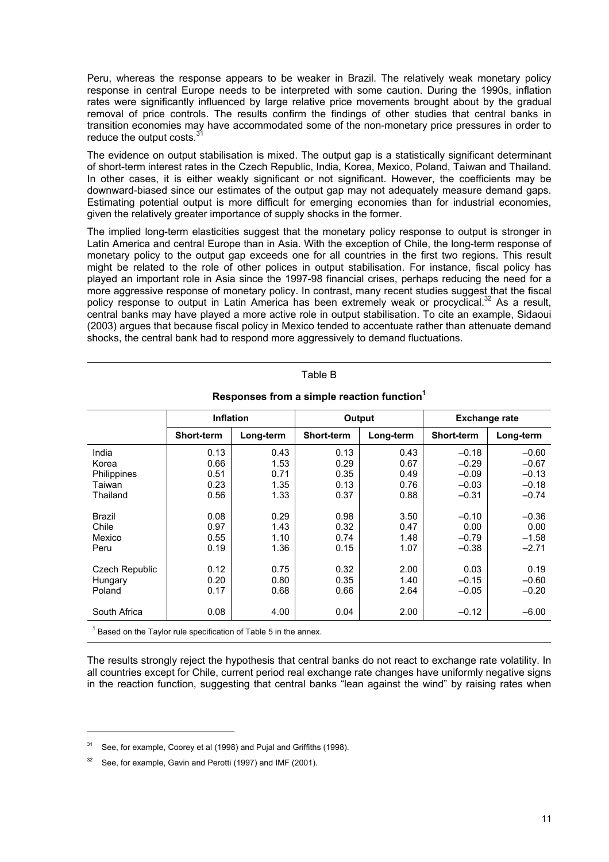Peru, whereas the response appears to be weaker in Brazil. The relatively weak monetary policy response in central Europe needs to be interpreted with some caution. During the 1990s, inflation rates were significantly influenced by large relative price movements brought about by the gradual removal of price controls. The results confirm the findings of other studies that central banks in transition economies may have accommodated some of the non-monetary price pressures in order to reduce the output costs.<sup>3</sup>

The evidence on output stabilisation is mixed. The output gap is a statistically significant determinant of short-term interest rates in the Czech Republic, India, Korea, Mexico, Poland, Taiwan and Thailand. In other cases, it is either weakly significant or not significant. However, the coefficients may be downward-biased since our estimates of the output gap may not adequately measure demand gaps. Estimating potential output is more difficult for emerging economies than for industrial economies, given the relatively greater importance of supply shocks in the former.

The implied long-term elasticities suggest that the monetary policy response to output is stronger in Latin America and central Europe than in Asia. With the exception of Chile, the long-term response of monetary policy to the output gap exceeds one for all countries in the first two regions. This result might be related to the role of other polices in output stabilisation. For instance, fiscal policy has played an important role in Asia since the 1997-98 financial crises, perhaps reducing the need for a more aggressive response of monetary policy. In contrast, many recent studies suggest that the fiscal policy response to output in Latin America has been extremely weak or procyclical.<sup>32</sup> As a result, central banks may have played a more active role in output stabilisation. To cite an example, Sidaoui (2003) argues that because fiscal policy in Mexico tended to accentuate rather than attenuate demand shocks, the central bank had to respond more aggressively to demand fluctuations.

|                                                                                             | <b>Inflation</b>  |           | Output     |           | <b>Exchange rate</b> |           |  |  |  |  |
|---------------------------------------------------------------------------------------------|-------------------|-----------|------------|-----------|----------------------|-----------|--|--|--|--|
|                                                                                             | <b>Short-term</b> | Long-term | Short-term | Long-term | <b>Short-term</b>    | Long-term |  |  |  |  |
| India                                                                                       | 0.13              | 0.43      | 0.13       | 0.43      | $-0.18$              | $-0.60$   |  |  |  |  |
| Korea                                                                                       | 0.66              | 1.53      | 0.29       | 0.67      | $-0.29$              | $-0.67$   |  |  |  |  |
| Philippines                                                                                 | 0.51              | 0.71      | 0.35       | 0.49      | $-0.09$              | $-0.13$   |  |  |  |  |
| Taiwan                                                                                      | 0.23              | 1.35      | 0.13       | 0.76      | $-0.03$              | $-0.18$   |  |  |  |  |
| Thailand                                                                                    | 0.56              | 1.33      | 0.37       | 0.88      | $-0.31$              | $-0.74$   |  |  |  |  |
| <b>Brazil</b>                                                                               | 0.08              | 0.29      | 0.98       | 3.50      | $-0.10$              | $-0.36$   |  |  |  |  |
| Chile                                                                                       | 0.97              | 1.43      | 0.32       | 0.47      | 0.00                 | 0.00      |  |  |  |  |
| Mexico                                                                                      | 0.55              | 1.10      | 0.74       | 1.48      | $-0.79$              | $-1.58$   |  |  |  |  |
| Peru                                                                                        | 0.19              | 1.36      | 0.15       | 1.07      | $-0.38$              | $-2.71$   |  |  |  |  |
| Czech Republic                                                                              | 0.12              | 0.75      | 0.32       | 2.00      | 0.03                 | 0.19      |  |  |  |  |
| Hungary                                                                                     | 0.20              | 0.80      | 0.35       | 1.40      | $-0.15$              | $-0.60$   |  |  |  |  |
| Poland                                                                                      | 0.17              | 0.68      | 0.66       | 2.64      | $-0.05$              | $-0.20$   |  |  |  |  |
| South Africa                                                                                | 0.08              | 4.00      | 0.04       | 2.00      | $-0.12$              | $-6.00$   |  |  |  |  |
| $1$ Here is a set that $\pm$ is the set of the set of $\pm$<br>こうりょう せっしょう おすいしょう こうしょせいしょう |                   |           |            |           |                      |           |  |  |  |  |

**Responses from a simple reaction function<sup>1</sup>**

Table B

1 Based on the Taylor rule specification of Table 5 in the annex.

The results strongly reject the hypothesis that central banks do not react to exchange rate volatility. In all countries except for Chile, current period real exchange rate changes have uniformly negative signs in the reaction function, suggesting that central banks "lean against the wind" by raising rates when

See, for example, Coorey et al (1998) and Pujal and Griffiths (1998).

See, for example, Gavin and Perotti (1997) and IMF (2001).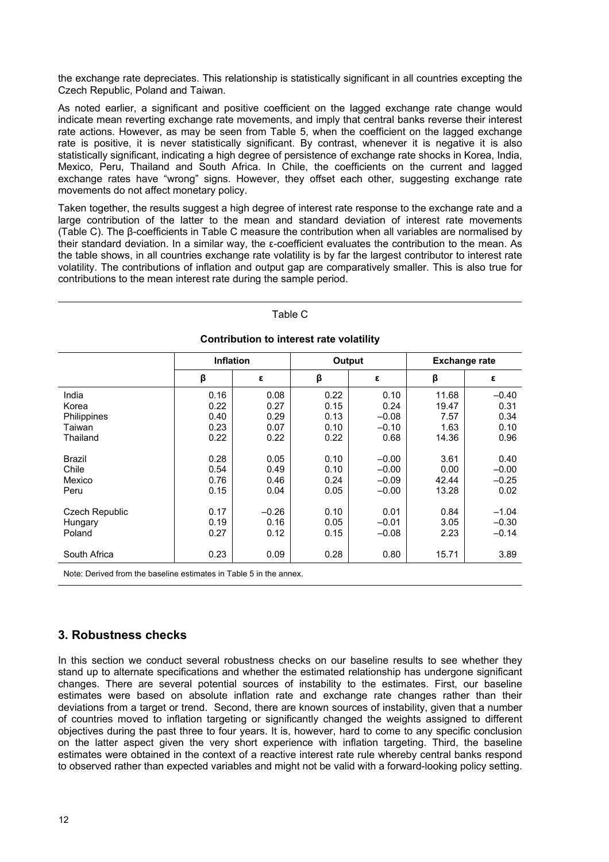the exchange rate depreciates. This relationship is statistically significant in all countries excepting the Czech Republic, Poland and Taiwan.

As noted earlier, a significant and positive coefficient on the lagged exchange rate change would indicate mean reverting exchange rate movements, and imply that central banks reverse their interest rate actions. However, as may be seen from Table 5, when the coefficient on the lagged exchange rate is positive, it is never statistically significant. By contrast, whenever it is negative it is also statistically significant, indicating a high degree of persistence of exchange rate shocks in Korea, India, Mexico, Peru, Thailand and South Africa. In Chile, the coefficients on the current and lagged exchange rates have "wrong" signs. However, they offset each other, suggesting exchange rate movements do not affect monetary policy.

Taken together, the results suggest a high degree of interest rate response to the exchange rate and a large contribution of the latter to the mean and standard deviation of interest rate movements (Table C). The β-coefficients in Table C measure the contribution when all variables are normalised by their standard deviation. In a similar way, the ε-coefficient evaluates the contribution to the mean. As the table shows, in all countries exchange rate volatility is by far the largest contributor to interest rate volatility. The contributions of inflation and output gap are comparatively smaller. This is also true for contributions to the mean interest rate during the sample period.

| Table C                                  |                  |              |              |                    |                      |                    |  |  |  |  |
|------------------------------------------|------------------|--------------|--------------|--------------------|----------------------|--------------------|--|--|--|--|
| Contribution to interest rate volatility |                  |              |              |                    |                      |                    |  |  |  |  |
|                                          | <b>Inflation</b> |              | Output       |                    | <b>Exchange rate</b> |                    |  |  |  |  |
|                                          | β                | ε            | β            | ε                  | β                    | ε                  |  |  |  |  |
| India<br>Korea                           | 0.16<br>0.22     | 0.08<br>0.27 | 0.22<br>0.15 | 0.10<br>0.24       | 11.68<br>19.47       | $-0.40$<br>0.31    |  |  |  |  |
| Philippines                              | 0.40             | 0.29         | 0.13         | $-0.08$            | 7.57                 | 0.34               |  |  |  |  |
| Taiwan<br>Thailand                       | 0.23<br>0.22     | 0.07<br>0.22 | 0.10<br>0.22 | $-0.10$<br>0.68    | 1.63<br>14.36        | 0.10<br>0.96       |  |  |  |  |
| <b>Brazil</b>                            | 0.28             | 0.05         | 0.10         | $-0.00$            | 3.61                 | 0.40               |  |  |  |  |
| Chile<br>Mexico                          | 0.54<br>0.76     | 0.49<br>0.46 | 0.10<br>0.24 | $-0.00$<br>$-0.09$ | 0.00<br>42.44        | $-0.00$<br>$-0.25$ |  |  |  |  |
| Peru                                     | 0.15             | 0.04         | 0.05         | $-0.00$            | 13.28                | 0.02               |  |  |  |  |
| Czech Republic                           | 0.17             | $-0.26$      | 0.10         | 0.01               | 0.84                 | $-1.04$            |  |  |  |  |
| Hungary<br>Poland                        | 0.19<br>0.27     | 0.16<br>0.12 | 0.05<br>0.15 | $-0.01$<br>$-0.08$ | 3.05<br>2.23         | $-0.30$<br>$-0.14$ |  |  |  |  |
| South Africa                             | 0.23             | 0.09         | 0.28         | 0.80               | 15.71                | 3.89               |  |  |  |  |

Note: Derived from the baseline estimates in Table 5 in the annex.

## **3. Robustness checks**

In this section we conduct several robustness checks on our baseline results to see whether they stand up to alternate specifications and whether the estimated relationship has undergone significant changes. There are several potential sources of instability to the estimates. First, our baseline estimates were based on absolute inflation rate and exchange rate changes rather than their deviations from a target or trend. Second, there are known sources of instability, given that a number of countries moved to inflation targeting or significantly changed the weights assigned to different objectives during the past three to four years. It is, however, hard to come to any specific conclusion on the latter aspect given the very short experience with inflation targeting. Third, the baseline estimates were obtained in the context of a reactive interest rate rule whereby central banks respond to observed rather than expected variables and might not be valid with a forward-looking policy setting.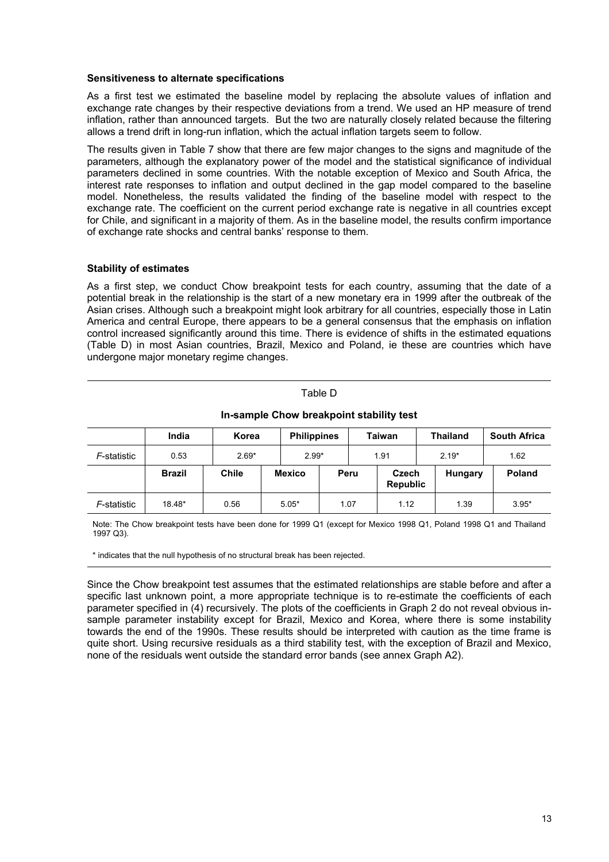#### **Sensitiveness to alternate specifications**

As a first test we estimated the baseline model by replacing the absolute values of inflation and exchange rate changes by their respective deviations from a trend. We used an HP measure of trend inflation, rather than announced targets. But the two are naturally closely related because the filtering allows a trend drift in long-run inflation, which the actual inflation targets seem to follow.

The results given in Table 7 show that there are few major changes to the signs and magnitude of the parameters, although the explanatory power of the model and the statistical significance of individual parameters declined in some countries. With the notable exception of Mexico and South Africa, the interest rate responses to inflation and output declined in the gap model compared to the baseline model. Nonetheless, the results validated the finding of the baseline model with respect to the exchange rate. The coefficient on the current period exchange rate is negative in all countries except for Chile, and significant in a majority of them. As in the baseline model, the results confirm importance of exchange rate shocks and central banks' response to them.

#### **Stability of estimates**

As a first step, we conduct Chow breakpoint tests for each country, assuming that the date of a potential break in the relationship is the start of a new monetary era in 1999 after the outbreak of the Asian crises. Although such a breakpoint might look arbitrary for all countries, especially those in Latin America and central Europe, there appears to be a general consensus that the emphasis on inflation control increased significantly around this time. There is evidence of shifts in the estimated equations (Table D) in most Asian countries, Brazil, Mexico and Poland, ie these are countries which have undergone major monetary regime changes.

| In-sample Chow breakpoint stability test |               |              |               |                                     |      |                          |                 |                     |         |  |
|------------------------------------------|---------------|--------------|---------------|-------------------------------------|------|--------------------------|-----------------|---------------------|---------|--|
|                                          | India         | Korea        |               | <b>Philippines</b><br><b>Taiwan</b> |      |                          | <b>Thailand</b> | <b>South Africa</b> |         |  |
| F-statistic                              | 0.53          | $2.69*$      |               | $2.99*$<br>1.91                     |      |                          | $2.19*$         |                     | 1.62    |  |
|                                          | <b>Brazil</b> | <b>Chile</b> | <b>Mexico</b> |                                     | Peru | Czech<br><b>Republic</b> |                 | Hungary             | Poland  |  |
| F-statistic                              | 18.48*        | 0.56         | $5.05*$       |                                     | 1.07 | 1.12                     |                 | 1.39                | $3.95*$ |  |

Table D

Note: The Chow breakpoint tests have been done for 1999 Q1 (except for Mexico 1998 Q1, Poland 1998 Q1 and Thailand 1997 Q3).

\* indicates that the null hypothesis of no structural break has been rejected.

Since the Chow breakpoint test assumes that the estimated relationships are stable before and after a specific last unknown point, a more appropriate technique is to re-estimate the coefficients of each parameter specified in (4) recursively. The plots of the coefficients in Graph 2 do not reveal obvious insample parameter instability except for Brazil, Mexico and Korea, where there is some instability towards the end of the 1990s. These results should be interpreted with caution as the time frame is quite short. Using recursive residuals as a third stability test, with the exception of Brazil and Mexico, none of the residuals went outside the standard error bands (see annex Graph A2).

13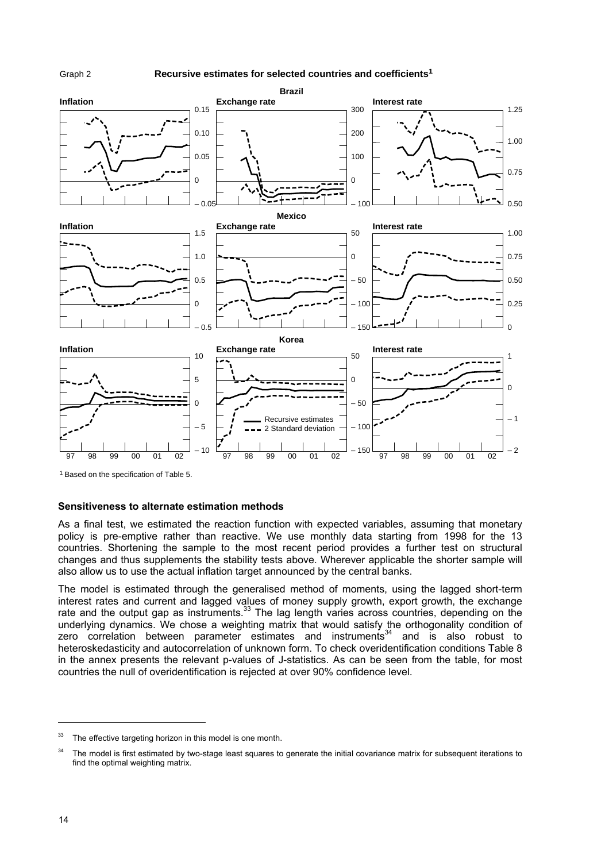

#### **Recursive estimates for selected countries and coefficients1**



1 Based on the specification of Table 5.

#### **Sensitiveness to alternate estimation methods**

As a final test, we estimated the reaction function with expected variables, assuming that monetary policy is pre-emptive rather than reactive. We use monthly data starting from 1998 for the 13 countries. Shortening the sample to the most recent period provides a further test on structural changes and thus supplements the stability tests above. Wherever applicable the shorter sample will also allow us to use the actual inflation target announced by the central banks.

The model is estimated through the generalised method of moments, using the lagged short-term interest rates and current and lagged values of money supply growth, export growth, the exchange rate and the output gap as instruments.<sup>33</sup> The lag length varies across countries, depending on the underlying dynamics. We chose a weighting matrix that would satisfy the orthogonality condition of zero correlation between parameter estimates and instruments<sup>34</sup> and is also robust to heteroskedasticity and autocorrelation of unknown form. To check overidentification conditions Table 8 in the annex presents the relevant p-values of J-statistics. As can be seen from the table, for most countries the null of overidentification is rejected at over 90% confidence level.

 $33$  The effective targeting horizon in this model is one month.

<sup>&</sup>lt;sup>34</sup> The model is first estimated by two-stage least squares to generate the initial covariance matrix for subsequent iterations to find the optimal weighting matrix.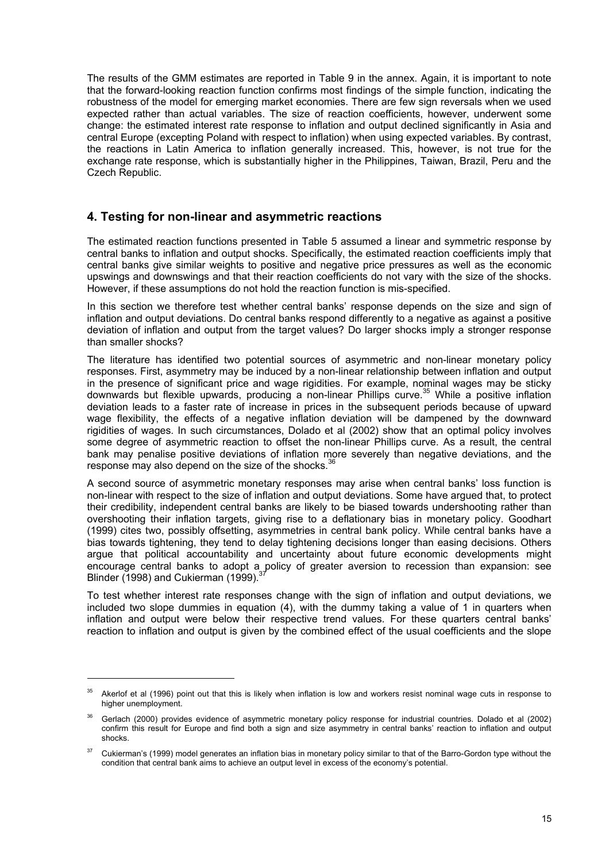The results of the GMM estimates are reported in Table 9 in the annex. Again, it is important to note that the forward-looking reaction function confirms most findings of the simple function, indicating the robustness of the model for emerging market economies. There are few sign reversals when we used expected rather than actual variables. The size of reaction coefficients, however, underwent some change: the estimated interest rate response to inflation and output declined significantly in Asia and central Europe (excepting Poland with respect to inflation) when using expected variables. By contrast, the reactions in Latin America to inflation generally increased. This, however, is not true for the exchange rate response, which is substantially higher in the Philippines, Taiwan, Brazil, Peru and the Czech Republic.

#### **4. Testing for non-linear and asymmetric reactions**

The estimated reaction functions presented in Table 5 assumed a linear and symmetric response by central banks to inflation and output shocks. Specifically, the estimated reaction coefficients imply that central banks give similar weights to positive and negative price pressures as well as the economic upswings and downswings and that their reaction coefficients do not vary with the size of the shocks. However, if these assumptions do not hold the reaction function is mis-specified.

In this section we therefore test whether central banks' response depends on the size and sign of inflation and output deviations. Do central banks respond differently to a negative as against a positive deviation of inflation and output from the target values? Do larger shocks imply a stronger response than smaller shocks?

The literature has identified two potential sources of asymmetric and non-linear monetary policy responses. First, asymmetry may be induced by a non-linear relationship between inflation and output in the presence of significant price and wage rigidities. For example, nominal wages may be sticky downwards but flexible upwards, producing a non-linear Phillips curve.<sup>35</sup> While a positive inflation deviation leads to a faster rate of increase in prices in the subsequent periods because of upward wage flexibility, the effects of a negative inflation deviation will be dampened by the downward rigidities of wages. In such circumstances, Dolado et al (2002) show that an optimal policy involves some degree of asymmetric reaction to offset the non-linear Phillips curve. As a result, the central bank may penalise positive deviations of inflation more severely than negative deviations, and the response may also depend on the size of the shocks.<sup>36</sup>

A second source of asymmetric monetary responses may arise when central banks' loss function is non-linear with respect to the size of inflation and output deviations. Some have argued that, to protect their credibility, independent central banks are likely to be biased towards undershooting rather than overshooting their inflation targets, giving rise to a deflationary bias in monetary policy. Goodhart (1999) cites two, possibly offsetting, asymmetries in central bank policy. While central banks have a bias towards tightening, they tend to delay tightening decisions longer than easing decisions. Others argue that political accountability and uncertainty about future economic developments might encourage central banks to adopt a policy of greater aversion to recession than expansion: see Blinder (1998) and Cukierman (1999). $3$ 

To test whether interest rate responses change with the sign of inflation and output deviations, we included two slope dummies in equation (4), with the dummy taking a value of 1 in quarters when inflation and output were below their respective trend values. For these quarters central banks' reaction to inflation and output is given by the combined effect of the usual coefficients and the slope

<sup>&</sup>lt;sup>35</sup> Akerlof et al (1996) point out that this is likely when inflation is low and workers resist nominal wage cuts in response to higher unemployment.

<sup>&</sup>lt;sup>36</sup> Gerlach (2000) provides evidence of asymmetric monetary policy response for industrial countries. Dolado et al (2002) confirm this result for Europe and find both a sign and size asymmetry in central banks' reaction to inflation and output shocks.

<sup>&</sup>lt;sup>37</sup> Cukierman's (1999) model generates an inflation bias in monetary policy similar to that of the Barro-Gordon type without the condition that central bank aims to achieve an output level in excess of the economy's potential.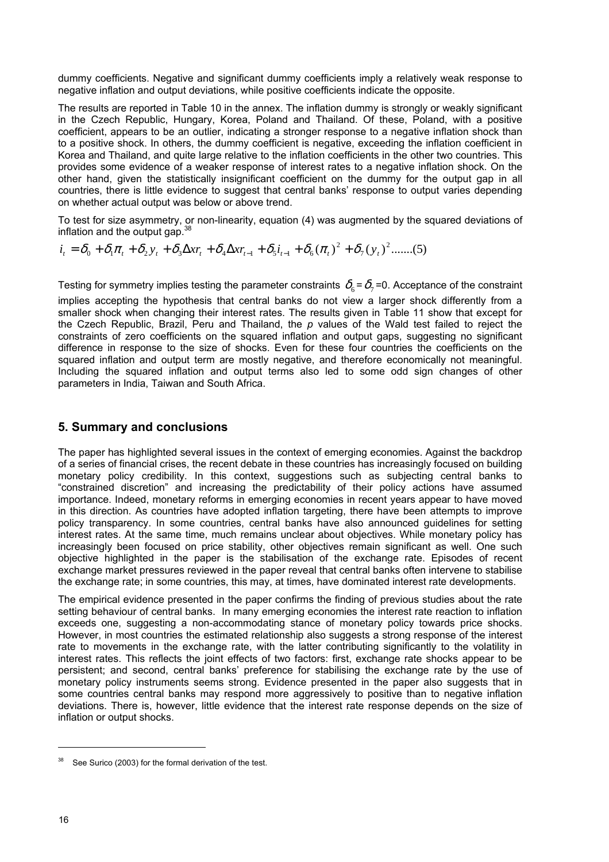dummy coefficients. Negative and significant dummy coefficients imply a relatively weak response to negative inflation and output deviations, while positive coefficients indicate the opposite.

The results are reported in Table 10 in the annex. The inflation dummy is strongly or weakly significant in the Czech Republic, Hungary, Korea, Poland and Thailand. Of these, Poland, with a positive coefficient, appears to be an outlier, indicating a stronger response to a negative inflation shock than to a positive shock. In others, the dummy coefficient is negative, exceeding the inflation coefficient in Korea and Thailand, and quite large relative to the inflation coefficients in the other two countries. This provides some evidence of a weaker response of interest rates to a negative inflation shock. On the other hand, given the statistically insignificant coefficient on the dummy for the output gap in all countries, there is little evidence to suggest that central banks' response to output varies depending on whether actual output was below or above trend.

To test for size asymmetry, or non-linearity, equation (4) was augmented by the squared deviations of inflation and the output gap. $388$ 

 $(\pi_t)^2 + \delta_7(y_t)^2$ .......(5)  $i_t = \delta_0 + \delta_1 \pi_t + \delta_2 y_t + \delta_3 \Delta x r_t + \delta_4 \Delta x r_{t-1} + \delta_5 i_{t-1} + \delta_6 (\pi_t)^2 + \delta_7 (y_t)$ 

Testing for symmetry implies testing the parameter constraints  $\delta_6 = \delta_7 = 0$ . Acceptance of the constraint

implies accepting the hypothesis that central banks do not view a larger shock differently from a smaller shock when changing their interest rates. The results given in Table 11 show that except for the Czech Republic, Brazil, Peru and Thailand, the *p* values of the Wald test failed to reject the constraints of zero coefficients on the squared inflation and output gaps, suggesting no significant difference in response to the size of shocks. Even for these four countries the coefficients on the squared inflation and output term are mostly negative, and therefore economically not meaningful. Including the squared inflation and output terms also led to some odd sign changes of other parameters in India, Taiwan and South Africa.

#### **5. Summary and conclusions**

The paper has highlighted several issues in the context of emerging economies. Against the backdrop of a series of financial crises, the recent debate in these countries has increasingly focused on building monetary policy credibility. In this context, suggestions such as subjecting central banks to "constrained discretion" and increasing the predictability of their policy actions have assumed importance. Indeed, monetary reforms in emerging economies in recent years appear to have moved in this direction. As countries have adopted inflation targeting, there have been attempts to improve policy transparency. In some countries, central banks have also announced guidelines for setting interest rates. At the same time, much remains unclear about objectives. While monetary policy has increasingly been focused on price stability, other objectives remain significant as well. One such objective highlighted in the paper is the stabilisation of the exchange rate. Episodes of recent exchange market pressures reviewed in the paper reveal that central banks often intervene to stabilise the exchange rate; in some countries, this may, at times, have dominated interest rate developments.

The empirical evidence presented in the paper confirms the finding of previous studies about the rate setting behaviour of central banks. In many emerging economies the interest rate reaction to inflation exceeds one, suggesting a non-accommodating stance of monetary policy towards price shocks. However, in most countries the estimated relationship also suggests a strong response of the interest rate to movements in the exchange rate, with the latter contributing significantly to the volatility in interest rates. This reflects the joint effects of two factors: first, exchange rate shocks appear to be persistent; and second, central banks' preference for stabilising the exchange rate by the use of monetary policy instruments seems strong. Evidence presented in the paper also suggests that in some countries central banks may respond more aggressively to positive than to negative inflation deviations. There is, however, little evidence that the interest rate response depends on the size of inflation or output shocks.

<sup>&</sup>lt;sup>38</sup> See Surico (2003) for the formal derivation of the test.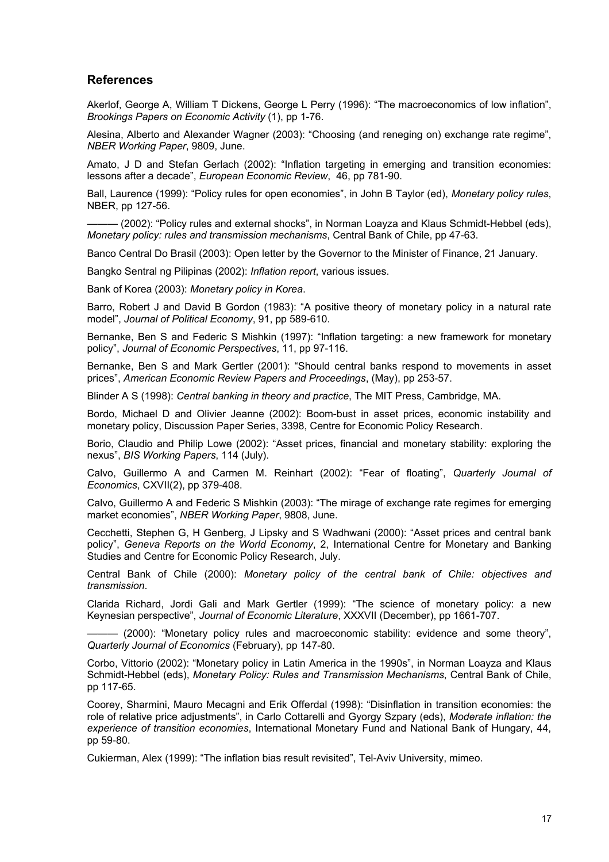#### **References**

Akerlof, George A, William T Dickens, George L Perry (1996): "The macroeconomics of low inflation", *Brookings Papers on Economic Activity* (1), pp 1-76.

Alesina, Alberto and Alexander Wagner (2003): "Choosing (and reneging on) exchange rate regime", *NBER Working Paper*, 9809, June.

Amato, J D and Stefan Gerlach (2002): "Inflation targeting in emerging and transition economies: lessons after a decade", *European Economic Review*, 46, pp 781-90.

Ball, Laurence (1999): "Policy rules for open economies", in John B Taylor (ed), *Monetary policy rules*, NBER, pp 127-56.

- (2002): "Policy rules and external shocks", in Norman Loayza and Klaus Schmidt-Hebbel (eds), *Monetary policy: rules and transmission mechanisms*, Central Bank of Chile, pp 47-63.

Banco Central Do Brasil (2003): Open letter by the Governor to the Minister of Finance, 21 January.

Bangko Sentral ng Pilipinas (2002): *Inflation report*, various issues.

Bank of Korea (2003): *Monetary policy in Korea*.

Barro, Robert J and David B Gordon (1983): "A positive theory of monetary policy in a natural rate model", *Journal of Political Economy*, 91, pp 589-610.

Bernanke, Ben S and Federic S Mishkin (1997): "Inflation targeting: a new framework for monetary policy", *Journal of Economic Perspectives*, 11, pp 97-116.

Bernanke, Ben S and Mark Gertler (2001): "Should central banks respond to movements in asset prices", *American Economic Review Papers and Proceedings*, (May), pp 253-57.

Blinder A S (1998): *Central banking in theory and practice*, The MIT Press, Cambridge, MA.

Bordo, Michael D and Olivier Jeanne (2002): Boom-bust in asset prices, economic instability and monetary policy, Discussion Paper Series, 3398, Centre for Economic Policy Research.

Borio, Claudio and Philip Lowe (2002): "Asset prices, financial and monetary stability: exploring the nexus", *BIS Working Papers*, 114 (July).

Calvo, Guillermo A and Carmen M. Reinhart (2002): "Fear of floating", *Quarterly Journal of Economics*, CXVII(2), pp 379-408.

Calvo, Guillermo A and Federic S Mishkin (2003): "The mirage of exchange rate regimes for emerging market economies", *NBER Working Paper*, 9808, June.

Cecchetti, Stephen G, H Genberg, J Lipsky and S Wadhwani (2000): "Asset prices and central bank policy", *Geneva Reports on the World Economy*, 2, International Centre for Monetary and Banking Studies and Centre for Economic Policy Research, July.

Central Bank of Chile (2000): *Monetary policy of the central bank of Chile: objectives and transmission*.

Clarida Richard, Jordi Gali and Mark Gertler (1999): "The science of monetary policy: a new Keynesian perspective", *Journal of Economic Literature*, XXXVII (December), pp 1661-707.

- (2000): "Monetary policy rules and macroeconomic stability: evidence and some theory", *Quarterly Journal of Economics* (February), pp 147-80.

Corbo, Vittorio (2002): "Monetary policy in Latin America in the 1990s", in Norman Loayza and Klaus Schmidt-Hebbel (eds), *Monetary Policy: Rules and Transmission Mechanisms*, Central Bank of Chile, pp 117-65.

Coorey, Sharmini, Mauro Mecagni and Erik Offerdal (1998): "Disinflation in transition economies: the role of relative price adjustments", in Carlo Cottarelli and Gyorgy Szpary (eds), *Moderate inflation: the experience of transition economies*, International Monetary Fund and National Bank of Hungary, 44, pp 59-80.

Cukierman, Alex (1999): "The inflation bias result revisited", Tel-Aviv University, mimeo.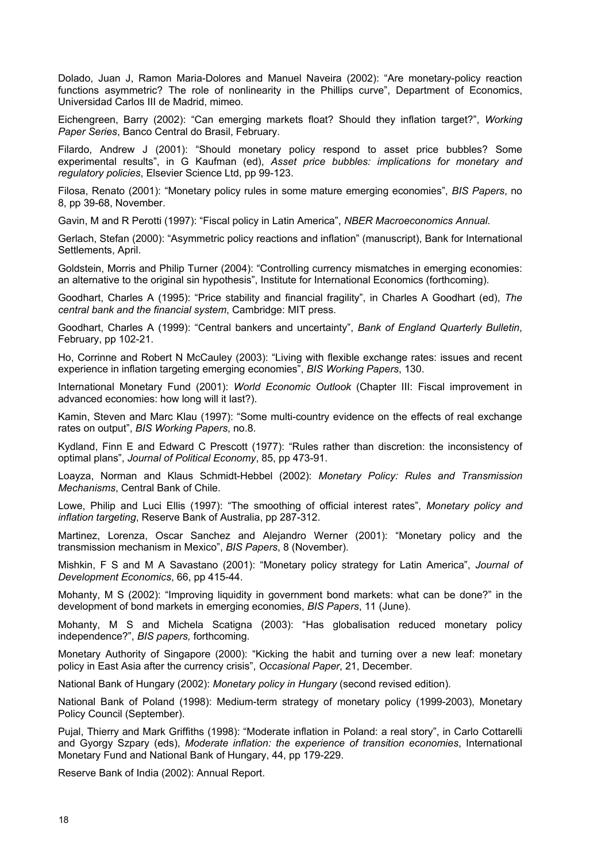Dolado, Juan J, Ramon Maria-Dolores and Manuel Naveira (2002): "Are monetary-policy reaction functions asymmetric? The role of nonlinearity in the Phillips curve", Department of Economics, Universidad Carlos III de Madrid, mimeo.

Eichengreen, Barry (2002): "Can emerging markets float? Should they inflation target?", *Working Paper Series*, Banco Central do Brasil, February.

Filardo, Andrew J (2001): "Should monetary policy respond to asset price bubbles? Some experimental results", in G Kaufman (ed), *Asset price bubbles: implications for monetary and regulatory policies*, Elsevier Science Ltd, pp 99-123.

Filosa, Renato (2001): "Monetary policy rules in some mature emerging economies", *BIS Papers*, no 8, pp 39-68, November.

Gavin, M and R Perotti (1997): "Fiscal policy in Latin America", *NBER Macroeconomics Annual*.

Gerlach, Stefan (2000): "Asymmetric policy reactions and inflation" (manuscript), Bank for International Settlements, April.

Goldstein, Morris and Philip Turner (2004): "Controlling currency mismatches in emerging economies: an alternative to the original sin hypothesis", Institute for International Economics (forthcoming).

Goodhart, Charles A (1995): "Price stability and financial fragility", in Charles A Goodhart (ed), *The central bank and the financial system*, Cambridge: MIT press.

Goodhart, Charles A (1999): "Central bankers and uncertainty", *Bank of England Quarterly Bulletin*, February, pp 102-21.

Ho, Corrinne and Robert N McCauley (2003): "Living with flexible exchange rates: issues and recent experience in inflation targeting emerging economies", *BIS Working Papers*, 130.

International Monetary Fund (2001): *World Economic Outlook* (Chapter III: Fiscal improvement in advanced economies: how long will it last?).

Kamin, Steven and Marc Klau (1997): "Some multi-country evidence on the effects of real exchange rates on output", *BIS Working Papers*, no.8.

Kydland, Finn E and Edward C Prescott (1977): "Rules rather than discretion: the inconsistency of optimal plans", *Journal of Political Economy*, 85, pp 473-91.

Loayza, Norman and Klaus Schmidt-Hebbel (2002): *Monetary Policy: Rules and Transmission Mechanisms*, Central Bank of Chile.

Lowe, Philip and Luci Ellis (1997): "The smoothing of official interest rates", *Monetary policy and inflation targeting*, Reserve Bank of Australia, pp 287-312.

Martinez, Lorenza, Oscar Sanchez and Alejandro Werner (2001): "Monetary policy and the transmission mechanism in Mexico", *BIS Papers*, 8 (November).

Mishkin, F S and M A Savastano (2001): "Monetary policy strategy for Latin America", *Journal of Development Economics*, 66, pp 415-44.

Mohanty, M S (2002): "Improving liquidity in government bond markets: what can be done?" in the development of bond markets in emerging economies, *BIS Papers*, 11 (June).

Mohanty, M S and Michela Scatigna (2003): "Has globalisation reduced monetary policy independence?", *BIS papers,* forthcoming.

Monetary Authority of Singapore (2000): "Kicking the habit and turning over a new leaf: monetary policy in East Asia after the currency crisis", *Occasional Paper*, 21, December.

National Bank of Hungary (2002): *Monetary policy in Hungary* (second revised edition).

National Bank of Poland (1998): Medium-term strategy of monetary policy (1999-2003), Monetary Policy Council (September).

Pujal, Thierry and Mark Griffiths (1998): "Moderate inflation in Poland: a real story", in Carlo Cottarelli and Gyorgy Szpary (eds), *Moderate inflation: the experience of transition economies*, International Monetary Fund and National Bank of Hungary, 44, pp 179-229.

Reserve Bank of India (2002): Annual Report.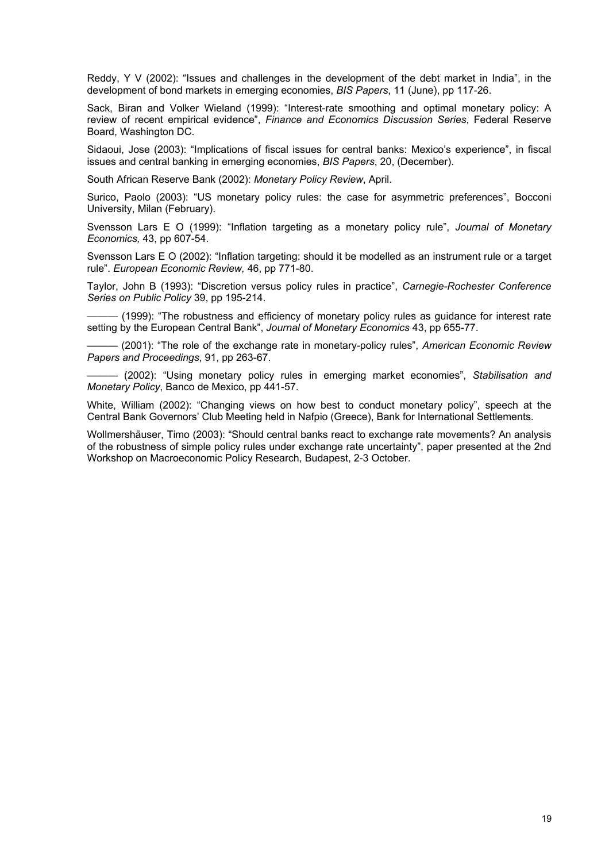Reddy, Y V (2002): "Issues and challenges in the development of the debt market in India", in the development of bond markets in emerging economies, *BIS Papers*, 11 (June), pp 117-26.

Sack, Biran and Volker Wieland (1999): "Interest-rate smoothing and optimal monetary policy: A review of recent empirical evidence", *Finance and Economics Discussion Series*, Federal Reserve Board, Washington DC.

Sidaoui, Jose (2003): "Implications of fiscal issues for central banks: Mexico's experience", in fiscal issues and central banking in emerging economies, *BIS Papers*, 20, (December).

South African Reserve Bank (2002): *Monetary Policy Review*, April.

Surico, Paolo (2003): "US monetary policy rules: the case for asymmetric preferences", Bocconi University, Milan (February).

Svensson Lars E O (1999): "Inflation targeting as a monetary policy rule", *Journal of Monetary Economics,* 43, pp 607-54.

Svensson Lars E O (2002): "Inflation targeting: should it be modelled as an instrument rule or a target rule". *European Economic Review,* 46, pp 771-80.

Taylor, John B (1993): "Discretion versus policy rules in practice", *Carnegie-Rochester Conference Series on Public Policy* 39, pp 195-214.

- (1999): "The robustness and efficiency of monetary policy rules as quidance for interest rate setting by the European Central Bank", *Journal of Monetary Economics* 43, pp 655-77.

——— (2001): "The role of the exchange rate in monetary-policy rules", *American Economic Review Papers and Proceedings*, 91, pp 263-67.

——— (2002): "Using monetary policy rules in emerging market economies", *Stabilisation and Monetary Policy*, Banco de Mexico, pp 441-57.

White, William (2002): "Changing views on how best to conduct monetary policy", speech at the Central Bank Governors' Club Meeting held in Nafpio (Greece), Bank for International Settlements.

Wollmershäuser, Timo (2003): "Should central banks react to exchange rate movements? An analysis of the robustness of simple policy rules under exchange rate uncertainty", paper presented at the 2nd Workshop on Macroeconomic Policy Research, Budapest, 2-3 October.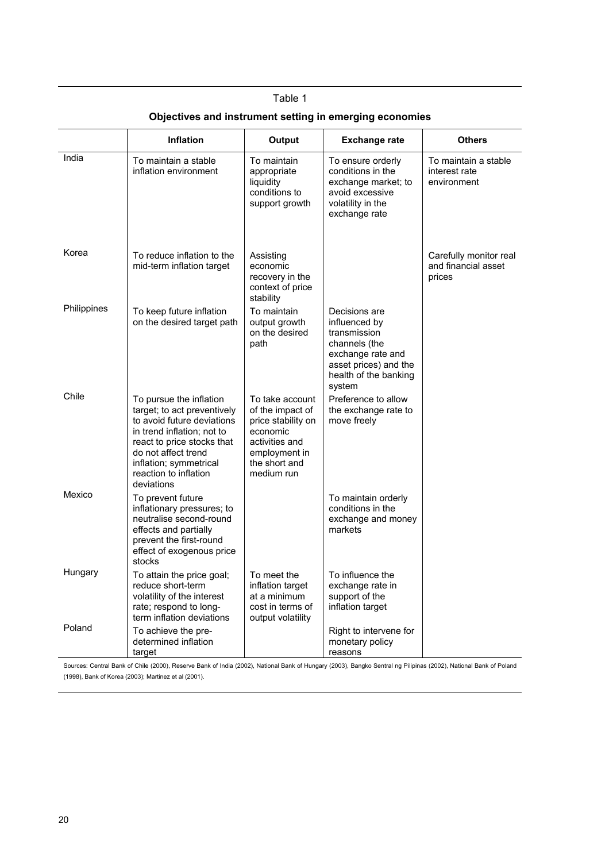|             | <b>Inflation</b>                                                                                                                                                                                                                         | Output                                                                                                                                  | <b>Exchange rate</b>                                                                                                                             | <b>Others</b>                                           |
|-------------|------------------------------------------------------------------------------------------------------------------------------------------------------------------------------------------------------------------------------------------|-----------------------------------------------------------------------------------------------------------------------------------------|--------------------------------------------------------------------------------------------------------------------------------------------------|---------------------------------------------------------|
| India       | To maintain a stable<br>inflation environment                                                                                                                                                                                            | To maintain<br>appropriate<br>liquidity<br>conditions to<br>support growth                                                              | To ensure orderly<br>conditions in the<br>exchange market; to<br>avoid excessive<br>volatility in the<br>exchange rate                           | To maintain a stable<br>interest rate<br>environment    |
| Korea       | To reduce inflation to the<br>mid-term inflation target                                                                                                                                                                                  | Assisting<br>economic<br>recovery in the<br>context of price<br>stability                                                               |                                                                                                                                                  | Carefully monitor real<br>and financial asset<br>prices |
| Philippines | To keep future inflation<br>on the desired target path                                                                                                                                                                                   | To maintain<br>output growth<br>on the desired<br>path                                                                                  | Decisions are<br>influenced by<br>transmission<br>channels (the<br>exchange rate and<br>asset prices) and the<br>health of the banking<br>system |                                                         |
| Chile       | To pursue the inflation<br>target; to act preventively<br>to avoid future deviations<br>in trend inflation; not to<br>react to price stocks that<br>do not affect trend<br>inflation; symmetrical<br>reaction to inflation<br>deviations | To take account<br>of the impact of<br>price stability on<br>economic<br>activities and<br>employment in<br>the short and<br>medium run | Preference to allow<br>the exchange rate to<br>move freely                                                                                       |                                                         |
| Mexico      | To prevent future<br>inflationary pressures; to<br>neutralise second-round<br>effects and partially<br>prevent the first-round<br>effect of exogenous price<br>stocks                                                                    |                                                                                                                                         | To maintain orderly<br>conditions in the<br>exchange and money<br>markets                                                                        |                                                         |
| Hungary     | To attain the price goal;<br>reduce short-term<br>volatility of the interest<br>rate; respond to long-<br>term inflation deviations                                                                                                      | To meet the<br>inflation target<br>at a minimum<br>cost in terms of<br>output volatility                                                | To influence the<br>exchange rate in<br>support of the<br>inflation target                                                                       |                                                         |
| Poland      | To achieve the pre-<br>determined inflation<br>target                                                                                                                                                                                    |                                                                                                                                         | Right to intervene for<br>monetary policy<br>reasons                                                                                             |                                                         |

Sources: Central Bank of Chile (2000), Reserve Bank of India (2002), National Bank of Hungary (2003), Bangko Sentral ng Pilipinas (2002), National Bank of Poland (1998), Bank of Korea (2003); Martinez et al (2001).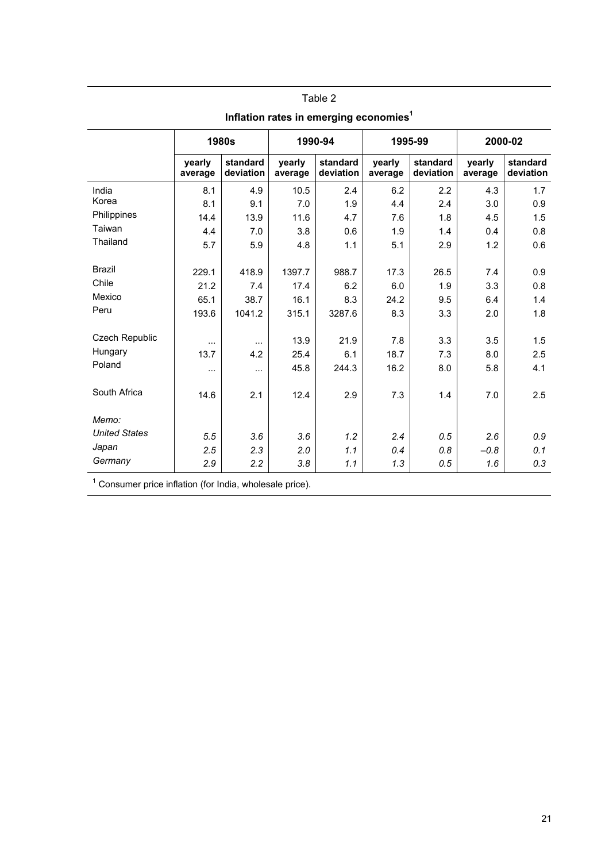|                      |                                                           | <b>1980s</b>          |                   | 1990-94               |                   | 1995-99               | 2000-02           |                       |  |  |  |
|----------------------|-----------------------------------------------------------|-----------------------|-------------------|-----------------------|-------------------|-----------------------|-------------------|-----------------------|--|--|--|
|                      | yearly<br>average                                         | standard<br>deviation | yearly<br>average | standard<br>deviation | yearly<br>average | standard<br>deviation | yearly<br>average | standard<br>deviation |  |  |  |
| India                | 8.1                                                       | 4.9                   | 10.5              | 2.4                   | 6.2               | 2.2                   | 4.3               | 1.7                   |  |  |  |
| Korea                | 8.1                                                       | 9.1                   | 7.0               | 1.9                   | 4.4               | 2.4                   | 3.0               | 0.9                   |  |  |  |
| Philippines          | 14.4                                                      | 13.9                  | 11.6              | 4.7                   | 7.6               | 1.8                   | 4.5               | 1.5                   |  |  |  |
| Taiwan               | 4.4                                                       | 7.0                   | 3.8               | 0.6                   | 1.9               | 1.4                   | 0.4               | 0.8                   |  |  |  |
| Thailand             | 5.7                                                       | 5.9                   | 4.8               | 1.1                   | 5.1               | 2.9                   | 1.2               | 0.6                   |  |  |  |
| <b>Brazil</b>        | 229.1                                                     | 418.9                 | 1397.7            | 988.7                 | 17.3              | 26.5                  | 7.4               | 0.9                   |  |  |  |
| Chile                | 21.2                                                      | 7.4                   | 17.4              | 6.2                   | 6.0               | 1.9                   | 3.3               | 0.8                   |  |  |  |
| Mexico               | 65.1                                                      | 38.7                  | 16.1              | 8.3                   | 24.2              | 9.5                   | 6.4               | 1.4                   |  |  |  |
| Peru                 | 193.6                                                     | 1041.2                | 315.1             | 3287.6                | 8.3               | 3.3                   | 2.0               | 1.8                   |  |  |  |
| Czech Republic       |                                                           |                       | 13.9              | 21.9                  | 7.8               | 3.3                   | 3.5               | 1.5                   |  |  |  |
| Hungary              | $\cdots$<br>13.7                                          | $\cdots$<br>4.2       | 25.4              | 6.1                   | 18.7              | 7.3                   | 8.0               | 2.5                   |  |  |  |
| Poland               | $\cdots$                                                  | $\cdots$              | 45.8              | 244.3                 | 16.2              | 8.0                   | 5.8               | 4.1                   |  |  |  |
|                      |                                                           |                       |                   |                       |                   |                       |                   |                       |  |  |  |
| South Africa         | 14.6                                                      | 2.1                   | 12.4              | 2.9                   | 7.3               | 1.4                   | 7.0               | 2.5                   |  |  |  |
| Memo:                |                                                           |                       |                   |                       |                   |                       |                   |                       |  |  |  |
| <b>United States</b> | 5.5                                                       | 3.6                   | 3.6               | 1.2                   | 2.4               | 0.5                   | 2.6               | 0.9                   |  |  |  |
| Japan                | 2.5                                                       | 2.3                   | 2.0               | 1.1                   | 0.4               | 0.8                   | $-0.8$            | 0.1                   |  |  |  |
| Germany              | 2.9                                                       | 2.2                   | 3.8               | 1.1                   | 1.3               | 0.5                   | 1.6               | 0.3                   |  |  |  |
|                      | $1$ Consumer price inflation (for India, upologele price) |                       |                   |                       |                   |                       |                   |                       |  |  |  |

**Inflation rates in emerging economies1**

Consumer price inflation (for India, wholesale price).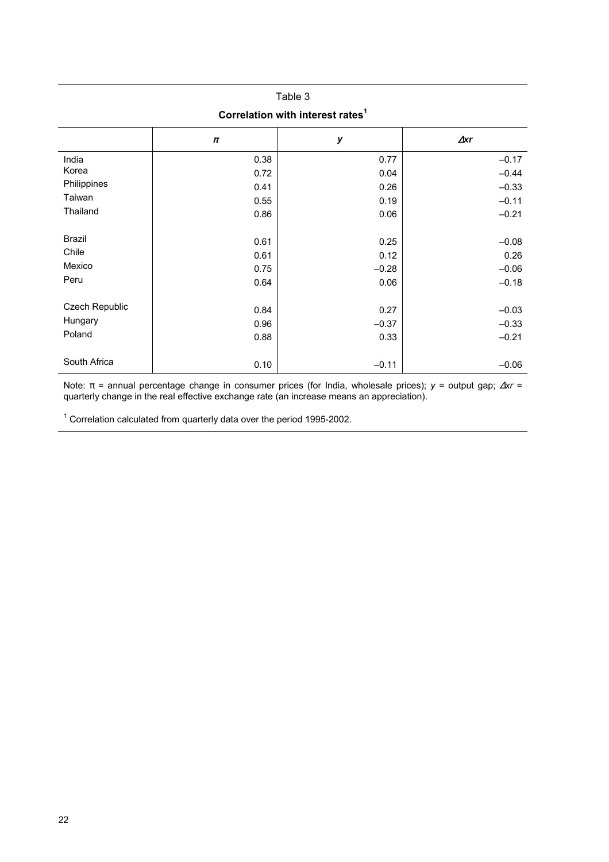## Table 3 **Correlation with interest rates<sup>1</sup>**

|                                     | π                            | у                               | $\Delta$ xr                           |
|-------------------------------------|------------------------------|---------------------------------|---------------------------------------|
| India                               | 0.38                         | 0.77                            | $-0.17$                               |
| Korea                               | 0.72                         | 0.04                            | $-0.44$                               |
| Philippines                         | 0.41                         | 0.26                            | $-0.33$                               |
| Taiwan                              | 0.55                         | 0.19                            | $-0.11$                               |
| Thailand                            | 0.86                         | 0.06                            | $-0.21$                               |
| Brazil<br>Chile<br>Mexico<br>Peru   | 0.61<br>0.61<br>0.75<br>0.64 | 0.25<br>0.12<br>$-0.28$<br>0.06 | $-0.08$<br>0.26<br>$-0.06$<br>$-0.18$ |
| Czech Republic<br>Hungary<br>Poland | 0.84<br>0.96<br>0.88         | 0.27<br>$-0.37$<br>0.33         | $-0.03$<br>$-0.33$<br>$-0.21$         |
| South Africa                        | 0.10                         | $-0.11$                         | $-0.06$                               |

Note: π = annual percentage change in consumer prices (for India, wholesale prices); *y* = output gap; ∆*xr* = quarterly change in the real effective exchange rate (an increase means an appreciation).

 $1$  Correlation calculated from quarterly data over the period 1995-2002.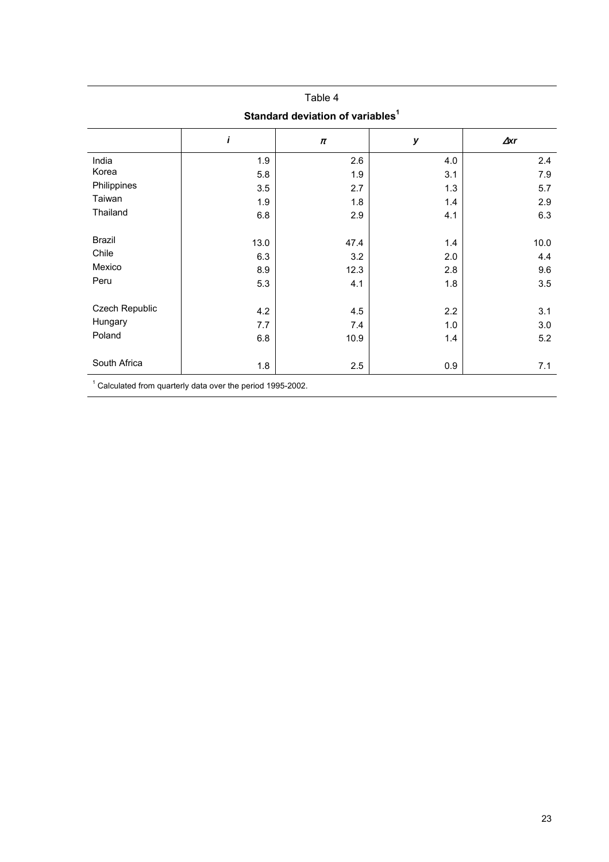|                                              |      | Table 4 |     |             |  |  |  |  |  |  |
|----------------------------------------------|------|---------|-----|-------------|--|--|--|--|--|--|
| Standard deviation of variables <sup>1</sup> |      |         |     |             |  |  |  |  |  |  |
|                                              | i    | $\pi$   | у   | $\Delta$ xr |  |  |  |  |  |  |
| India                                        | 1.9  | 2.6     | 4.0 | 2.4         |  |  |  |  |  |  |
| Korea                                        | 5.8  | 1.9     | 3.1 | 7.9         |  |  |  |  |  |  |
| Philippines                                  | 3.5  | 2.7     | 1.3 | 5.7         |  |  |  |  |  |  |
| Taiwan                                       | 1.9  | 1.8     | 1.4 | 2.9         |  |  |  |  |  |  |
| Thailand                                     | 6.8  | 2.9     | 4.1 | 6.3         |  |  |  |  |  |  |
| <b>Brazil</b>                                | 13.0 | 47.4    | 1.4 | 10.0        |  |  |  |  |  |  |
| Chile                                        | 6.3  | 3.2     | 2.0 | 4.4         |  |  |  |  |  |  |
| Mexico                                       | 8.9  | 12.3    | 2.8 | 9.6         |  |  |  |  |  |  |
| Peru                                         | 5.3  | 4.1     | 1.8 | 3.5         |  |  |  |  |  |  |
| Czech Republic                               | 4.2  | 4.5     | 2.2 | 3.1         |  |  |  |  |  |  |
| Hungary                                      | 7.7  | 7.4     | 1.0 | 3.0         |  |  |  |  |  |  |
| Poland                                       | 6.8  | 10.9    | 1.4 | 5.2         |  |  |  |  |  |  |
| South Africa                                 | 1.8  | 2.5     | 0.9 | 7.1         |  |  |  |  |  |  |
| $1 - 1 - 1 - 1$                              |      |         |     |             |  |  |  |  |  |  |

 $1$  Calculated from quarterly data over the period 1995-2002.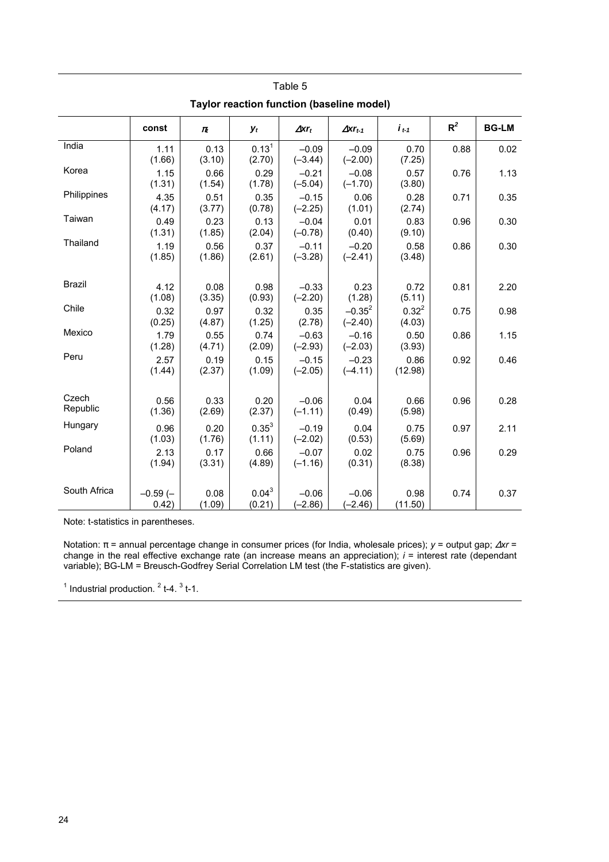| <b>Taylor reaction function (baseline model)</b> |                    |                |                      |                          |                            |                      |       |              |  |  |
|--------------------------------------------------|--------------------|----------------|----------------------|--------------------------|----------------------------|----------------------|-------|--------------|--|--|
|                                                  | const              | $\pi_t$        | $y_t$                | $\Delta$ xr <sub>t</sub> | $\Delta$ xr <sub>t-1</sub> | $i_{t-1}$            | $R^2$ | <b>BG-LM</b> |  |  |
| India                                            | 1.11<br>(1.66)     | 0.13<br>(3.10) | $0.13^{1}$<br>(2.70) | $-0.09$<br>$(-3.44)$     | $-0.09$<br>$(-2.00)$       | 0.70<br>(7.25)       | 0.88  | 0.02         |  |  |
| Korea                                            | 1.15<br>(1.31)     | 0.66<br>(1.54) | 0.29<br>(1.78)       | $-0.21$<br>$(-5.04)$     | $-0.08$<br>$(-1.70)$       | 0.57<br>(3.80)       | 0.76  | 1.13         |  |  |
| Philippines                                      | 4.35<br>(4.17)     | 0.51<br>(3.77) | 0.35<br>(0.78)       | $-0.15$<br>$(-2.25)$     | 0.06<br>(1.01)             | 0.28<br>(2.74)       | 0.71  | 0.35         |  |  |
| Taiwan                                           | 0.49<br>(1.31)     | 0.23<br>(1.85) | 0.13<br>(2.04)       | $-0.04$<br>$(-0.78)$     | 0.01<br>(0.40)             | 0.83<br>(9.10)       | 0.96  | 0.30         |  |  |
| Thailand                                         | 1.19<br>(1.85)     | 0.56<br>(1.86) | 0.37<br>(2.61)       | $-0.11$<br>$(-3.28)$     | $-0.20$<br>$(-2.41)$       | 0.58<br>(3.48)       | 0.86  | 0.30         |  |  |
| <b>Brazil</b>                                    | 4.12<br>(1.08)     | 0.08<br>(3.35) | 0.98<br>(0.93)       | $-0.33$<br>$(-2.20)$     | 0.23<br>(1.28)             | 0.72<br>(5.11)       | 0.81  | 2.20         |  |  |
| Chile                                            | 0.32<br>(0.25)     | 0.97<br>(4.87) | 0.32<br>(1.25)       | 0.35<br>(2.78)           | $-0.35^{2}$<br>$(-2.40)$   | $0.32^{2}$<br>(4.03) | 0.75  | 0.98         |  |  |
| Mexico                                           | 1.79<br>(1.28)     | 0.55<br>(4.71) | 0.74<br>(2.09)       | $-0.63$<br>$(-2.93)$     | $-0.16$<br>$(-2.03)$       | 0.50<br>(3.93)       | 0.86  | 1.15         |  |  |
| Peru                                             | 2.57<br>(1.44)     | 0.19<br>(2.37) | 0.15<br>(1.09)       | $-0.15$<br>$(-2.05)$     | $-0.23$<br>$(-4.11)$       | 0.86<br>(12.98)      | 0.92  | 0.46         |  |  |
| Czech<br>Republic                                | 0.56<br>(1.36)     | 0.33<br>(2.69) | 0.20<br>(2.37)       | $-0.06$<br>$(-1.11)$     | 0.04<br>(0.49)             | 0.66<br>(5.98)       | 0.96  | 0.28         |  |  |
| Hungary                                          | 0.96<br>(1.03)     | 0.20<br>(1.76) | $0.35^{3}$<br>(1.11) | $-0.19$<br>$(-2.02)$     | 0.04<br>(0.53)             | 0.75<br>(5.69)       | 0.97  | 2.11         |  |  |
| Poland                                           | 2.13<br>(1.94)     | 0.17<br>(3.31) | 0.66<br>(4.89)       | $-0.07$<br>$(-1.16)$     | 0.02<br>(0.31)             | 0.75<br>(8.38)       | 0.96  | 0.29         |  |  |
| South Africa                                     | $-0.59(-$<br>0.42) | 0.08<br>(1.09) | $0.04^3$<br>(0.21)   | $-0.06$<br>$(-2.86)$     | $-0.06$<br>$(-2.46)$       | 0.98<br>(11.50)      | 0.74  | 0.37         |  |  |

Note: t-statistics in parentheses.

Notation: π = annual percentage change in consumer prices (for India, wholesale prices); *y* = output gap; ∆*xr* = change in the real effective exchange rate (an increase means an appreciation); *i* = interest rate (dependant variable); BG-LM = Breusch-Godfrey Serial Correlation LM test (the F-statistics are given).

 $<sup>1</sup>$  Industrial production.  $<sup>2</sup>$  t-4.  $<sup>3</sup>$  t-1.</sup></sup></sup>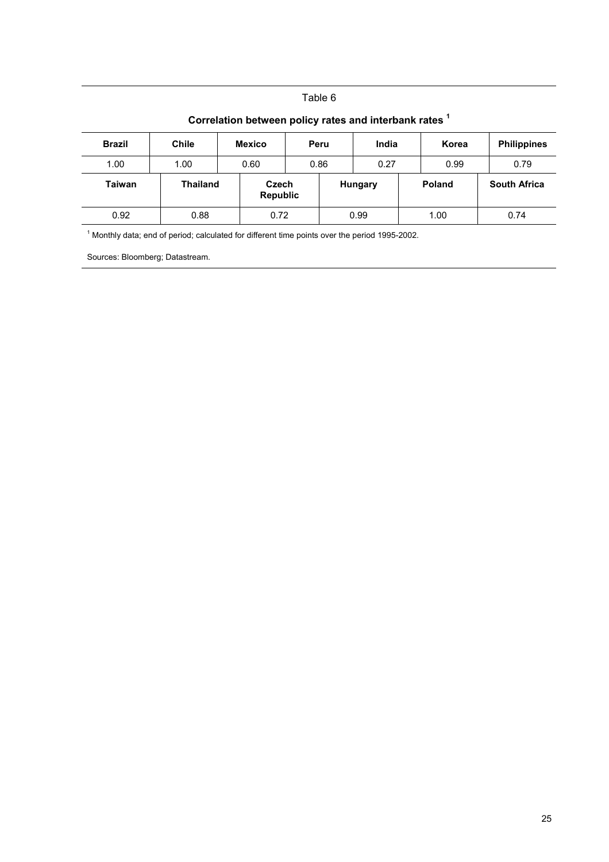| <b>Brazil</b> | <b>Chile</b>    | <b>Mexico</b>     | India<br>Peru |         |      |  | Korea         | <b>Philippines</b>  |  |
|---------------|-----------------|-------------------|---------------|---------|------|--|---------------|---------------------|--|
| 1.00          | 1.00            | 0.60              |               | 0.86    |      |  | 0.99          | 0.79                |  |
| <b>Taiwan</b> | <b>Thailand</b> | Czech<br>Republic |               | Hungary |      |  | <b>Poland</b> | <b>South Africa</b> |  |
| 0.92          | 0.88            |                   | 0.72          |         | 0.99 |  | 1.00          | 0.74                |  |

#### **Correlation between policy rates and interbank rates <sup>1</sup>**

 $<sup>1</sup>$  Monthly data; end of period; calculated for different time points over the period 1995-2002.</sup>

Sources: Bloomberg; Datastream.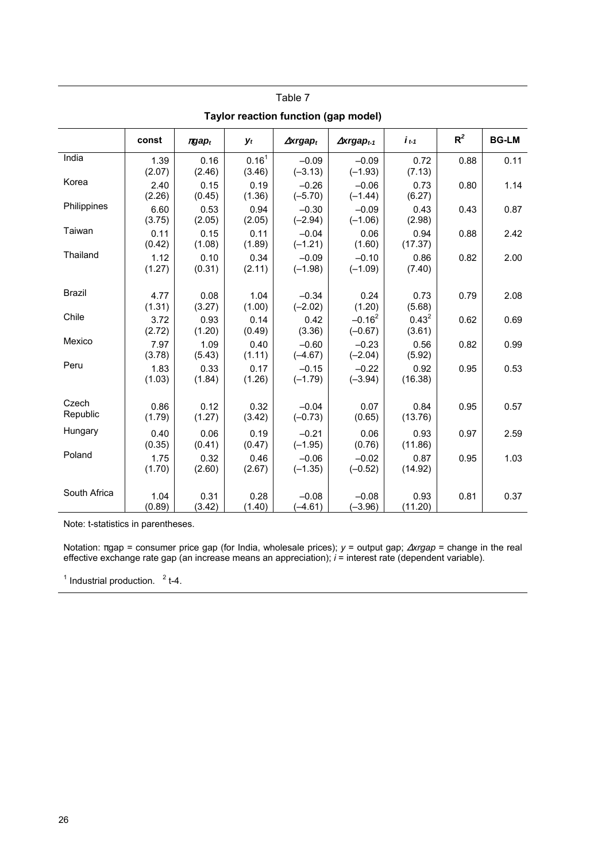| Taylor reaction function (gap model) |                |                |                             |                              |                                |                      |       |              |
|--------------------------------------|----------------|----------------|-----------------------------|------------------------------|--------------------------------|----------------------|-------|--------------|
|                                      | const          | $\pi$ gap $_t$ | $y_t$                       | $\Delta x$ rgap <sub>t</sub> | $\Delta x$ rgap <sub>t-1</sub> | $i_{t-1}$            | $R^2$ | <b>BG-LM</b> |
| India                                | 1.39<br>(2.07) | 0.16<br>(2.46) | 0.16 <sup>1</sup><br>(3.46) | $-0.09$<br>$(-3.13)$         | $-0.09$<br>$(-1.93)$           | 0.72<br>(7.13)       | 0.88  | 0.11         |
| Korea                                | 2.40<br>(2.26) | 0.15<br>(0.45) | 0.19<br>(1.36)              | $-0.26$<br>$(-5.70)$         | $-0.06$<br>$(-1.44)$           | 0.73<br>(6.27)       | 0.80  | 1.14         |
| Philippines                          | 6.60<br>(3.75) | 0.53<br>(2.05) | 0.94<br>(2.05)              | $-0.30$<br>$(-2.94)$         | $-0.09$<br>$(-1.06)$           | 0.43<br>(2.98)       | 0.43  | 0.87         |
| Taiwan                               | 0.11<br>(0.42) | 0.15<br>(1.08) | 0.11<br>(1.89)              | $-0.04$<br>$(-1.21)$         | 0.06<br>(1.60)                 | 0.94<br>(17.37)      | 0.88  | 2.42         |
| Thailand                             | 1.12<br>(1.27) | 0.10<br>(0.31) | 0.34<br>(2.11)              | $-0.09$<br>$(-1.98)$         | $-0.10$<br>$(-1.09)$           | 0.86<br>(7.40)       | 0.82  | 2.00         |
| <b>Brazil</b>                        | 4.77<br>(1.31) | 0.08<br>(3.27) | 1.04<br>(1.00)              | $-0.34$<br>$(-2.02)$         | 0.24<br>(1.20)                 | 0.73<br>(5.68)       | 0.79  | 2.08         |
| Chile                                | 3.72<br>(2.72) | 0.93<br>(1.20) | 0.14<br>(0.49)              | 0.42<br>(3.36)               | $-0.16^2$<br>$(-0.67)$         | $0.43^{2}$<br>(3.61) | 0.62  | 0.69         |
| Mexico                               | 7.97<br>(3.78) | 1.09<br>(5.43) | 0.40<br>(1.11)              | $-0.60$<br>$(-4.67)$         | $-0.23$<br>$(-2.04)$           | 0.56<br>(5.92)       | 0.82  | 0.99         |
| Peru                                 | 1.83<br>(1.03) | 0.33<br>(1.84) | 0.17<br>(1.26)              | $-0.15$<br>$(-1.79)$         | $-0.22$<br>$(-3.94)$           | 0.92<br>(16.38)      | 0.95  | 0.53         |
| Czech<br>Republic                    | 0.86<br>(1.79) | 0.12<br>(1.27) | 0.32<br>(3.42)              | $-0.04$<br>$(-0.73)$         | 0.07<br>(0.65)                 | 0.84<br>(13.76)      | 0.95  | 0.57         |
| Hungary                              | 0.40<br>(0.35) | 0.06<br>(0.41) | 0.19<br>(0.47)              | $-0.21$<br>$(-1.95)$         | 0.06<br>(0.76)                 | 0.93<br>(11.86)      | 0.97  | 2.59         |
| Poland                               | 1.75<br>(1.70) | 0.32<br>(2.60) | 0.46<br>(2.67)              | $-0.06$<br>$(-1.35)$         | $-0.02$<br>$(-0.52)$           | 0.87<br>(14.92)      | 0.95  | 1.03         |
| South Africa                         | 1.04<br>(0.89) | 0.31<br>(3.42) | 0.28<br>(1.40)              | $-0.08$<br>$(-4.61)$         | $-0.08$<br>$(-3.96)$           | 0.93<br>(11.20)      | 0.81  | 0.37         |

Table 7 **Taylor reaction function (gap model)** 

Note: t-statistics in parentheses.

Notation: πgap = consumer price gap (for India, wholesale prices); *y* = output gap; ∆*xrgap* = change in the real effective exchange rate gap (an increase means an appreciation); *i* = interest rate (dependent variable).

 $1$  Industrial production.  $2$  t-4.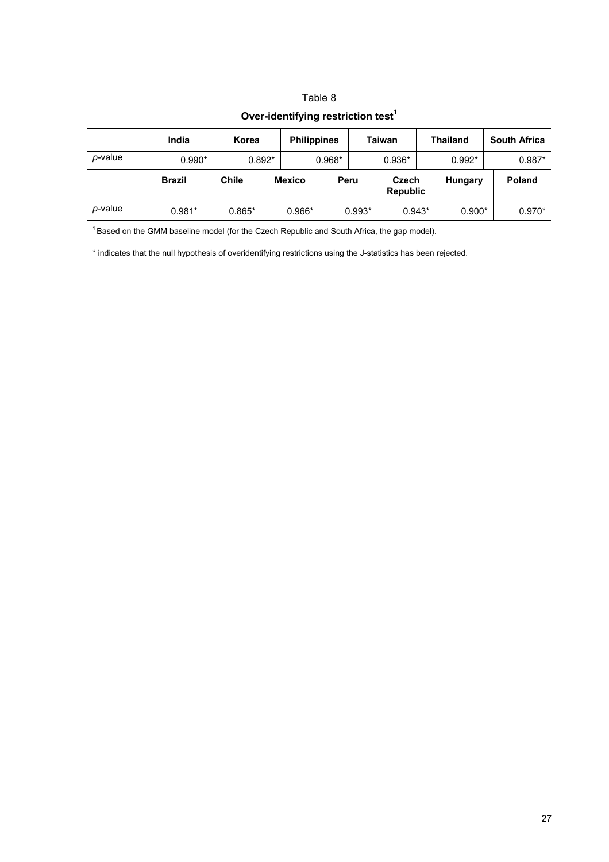## Table 8 **Over-identifying restriction test<sup>1</sup>**

|                 | India         | Korea        |          | <b>Philippines</b> |          |          | <b>Taiwan</b>            | <b>Thailand</b> | <b>South Africa</b> |  |
|-----------------|---------------|--------------|----------|--------------------|----------|----------|--------------------------|-----------------|---------------------|--|
| <i>p</i> -value | $0.990*$      |              | $0.892*$ |                    | $0.968*$ |          | $0.936*$                 | $0.992*$        | $0.987*$            |  |
|                 | <b>Brazil</b> | <b>Chile</b> |          | <b>Mexico</b>      |          | Peru     | Czech<br><b>Republic</b> | Hungary         | <b>Poland</b>       |  |
| <i>p</i> -value | $0.981*$      | $0.865*$     |          | $0.966*$           |          | $0.993*$ | $0.943*$                 | $0.900*$        | $0.970*$            |  |

<sup>1</sup> Based on the GMM baseline model (for the Czech Republic and South Africa, the gap model).

\* indicates that the null hypothesis of overidentifying restrictions using the J-statistics has been rejected.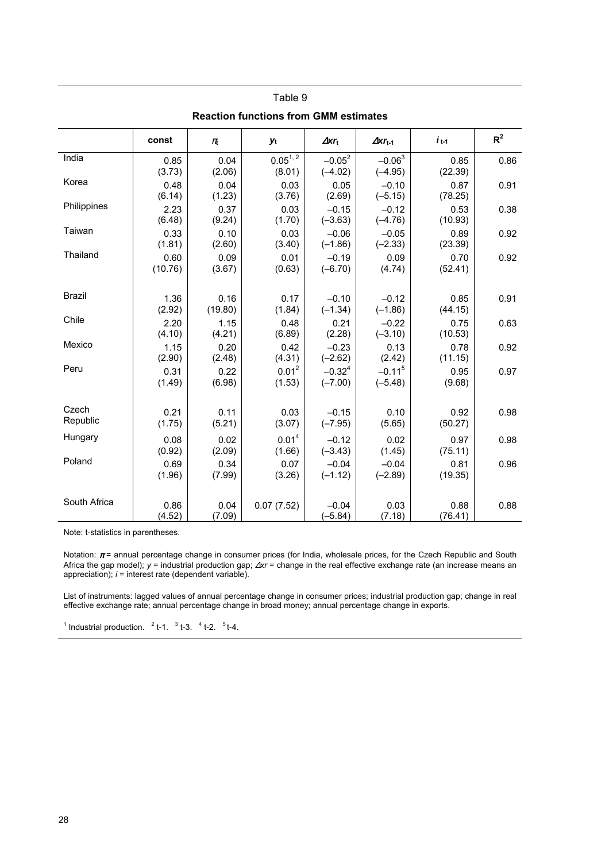| <b>Reaction functions from GMM estimates</b> |                 |                 |                             |                          |                            |                 |       |  |
|----------------------------------------------|-----------------|-----------------|-----------------------------|--------------------------|----------------------------|-----------------|-------|--|
|                                              | const           | $\pi$           | yt                          | $\Delta$ xr <sub>t</sub> | $\Delta$ xr <sub>t-1</sub> | $i_{t-1}$       | $R^2$ |  |
| India                                        | 0.85<br>(3.73)  | 0.04<br>(2.06)  | $0.05^{1,2}$<br>(8.01)      | $-0.05^2$<br>$(-4.02)$   | $-0.063$<br>$(-4.95)$      | 0.85<br>(22.39) | 0.86  |  |
| Korea                                        | 0.48<br>(6.14)  | 0.04<br>(1.23)  | 0.03<br>(3.76)              | 0.05<br>(2.69)           | $-0.10$<br>$(-5.15)$       | 0.87<br>(78.25) | 0.91  |  |
| Philippines                                  | 2.23<br>(6.48)  | 0.37<br>(9.24)  | 0.03<br>(1.70)              | $-0.15$<br>$(-3.63)$     | $-0.12$<br>$(-4.76)$       | 0.53<br>(10.93) | 0.38  |  |
| Taiwan                                       | 0.33<br>(1.81)  | 0.10<br>(2.60)  | 0.03<br>(3.40)              | $-0.06$<br>$(-1.86)$     | $-0.05$<br>$(-2.33)$       | 0.89<br>(23.39) | 0.92  |  |
| Thailand                                     | 0.60<br>(10.76) | 0.09<br>(3.67)  | 0.01<br>(0.63)              | $-0.19$<br>$(-6.70)$     | 0.09<br>(4.74)             | 0.70<br>(52.41) | 0.92  |  |
| <b>Brazil</b>                                | 1.36<br>(2.92)  | 0.16<br>(19.80) | 0.17<br>(1.84)              | $-0.10$<br>$(-1.34)$     | $-0.12$<br>$(-1.86)$       | 0.85<br>(44.15) | 0.91  |  |
| Chile                                        | 2.20<br>(4.10)  | 1.15<br>(4.21)  | 0.48<br>(6.89)              | 0.21<br>(2.28)           | $-0.22$<br>$(-3.10)$       | 0.75<br>(10.53) | 0.63  |  |
| Mexico                                       | 1.15<br>(2.90)  | 0.20<br>(2.48)  | 0.42<br>(4.31)              | $-0.23$<br>$(-2.62)$     | 0.13<br>(2.42)             | 0.78<br>(11.15) | 0.92  |  |
| Peru                                         | 0.31<br>(1.49)  | 0.22<br>(6.98)  | $0.01^2$<br>(1.53)          | $-0.32^{4}$<br>$(-7.00)$ | $-0.115$<br>$(-5.48)$      | 0.95<br>(9.68)  | 0.97  |  |
| Czech<br>Republic                            | 0.21<br>(1.75)  | 0.11<br>(5.21)  | 0.03<br>(3.07)              | $-0.15$<br>$(-7.95)$     | 0.10<br>(5.65)             | 0.92<br>(50.27) | 0.98  |  |
| Hungary                                      | 0.08<br>(0.92)  | 0.02<br>(2.09)  | 0.01 <sup>4</sup><br>(1.66) | $-0.12$<br>$(-3.43)$     | 0.02<br>(1.45)             | 0.97<br>(75.11) | 0.98  |  |
| Poland                                       | 0.69<br>(1.96)  | 0.34<br>(7.99)  | 0.07<br>(3.26)              | $-0.04$<br>$(-1.12)$     | $-0.04$<br>$(-2.89)$       | 0.81<br>(19.35) | 0.96  |  |
| South Africa                                 | 0.86<br>(4.52)  | 0.04<br>(7.09)  | 0.07(7.52)                  | $-0.04$<br>$(-5.84)$     | 0.03<br>(7.18)             | 0.88<br>(76.41) | 0.88  |  |

Note: t-statistics in parentheses.

Notation:  $\pi$  = annual percentage change in consumer prices (for India, wholesale prices, for the Czech Republic and South Africa the gap model); *y* = industrial production gap; ∆*xr* = change in the real effective exchange rate (an increase means an appreciation); *i* = interest rate (dependent variable).

List of instruments: lagged values of annual percentage change in consumer prices; industrial production gap; change in real effective exchange rate; annual percentage change in broad money; annual percentage change in exports.

<sup>1</sup> Industrial production.  $2t-1$ ,  $3t-3$ ,  $4t-2$ ,  $5t-4$ .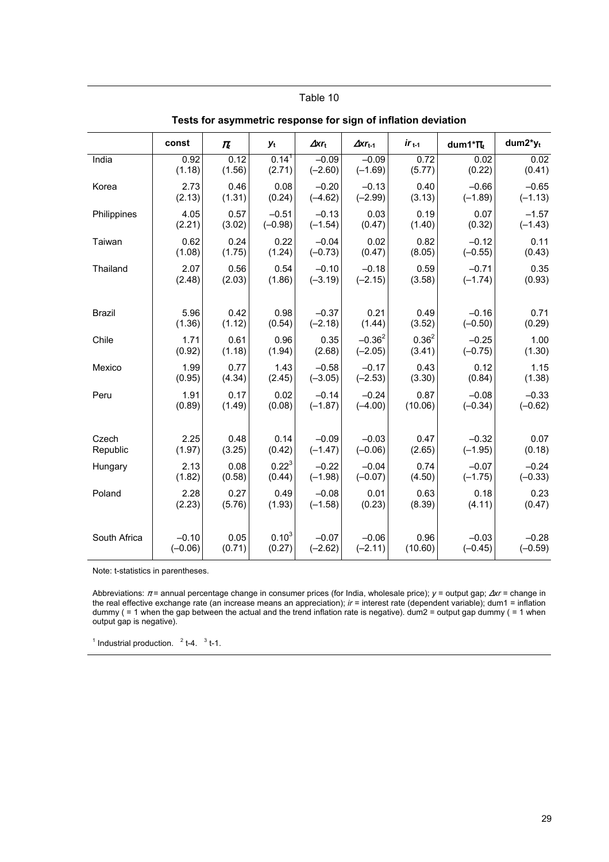| ישיט וטו טאטעט |           |                               |            |                          |                            |            |               |            |
|----------------|-----------|-------------------------------|------------|--------------------------|----------------------------|------------|---------------|------------|
|                | const     | $\pi_{\scriptscriptstyle{t}}$ | yt         | $\Delta$ xr <sub>t</sub> | $\Delta$ xr <sub>t-1</sub> | $ir_{t-1}$ | dum1* $\pi_t$ | $dum2*y_t$ |
| India          | 0.92      | 0.12                          | $0.14^{1}$ | $-0.09$                  | $-0.09$                    | 0.72       | 0.02          | 0.02       |
|                | (1.18)    | (1.56)                        | (2.71)     | $(-2.60)$                | $(-1.69)$                  | (5.77)     | (0.22)        | (0.41)     |
| Korea          | 2.73      | 0.46                          | 0.08       | $-0.20$                  | $-0.13$                    | 0.40       | $-0.66$       | $-0.65$    |
|                | (2.13)    | (1.31)                        | (0.24)     | $(-4.62)$                | $(-2.99)$                  | (3.13)     | $(-1.89)$     | $(-1.13)$  |
| Philippines    | 4.05      | 0.57                          | $-0.51$    | $-0.13$                  | 0.03                       | 0.19       | 0.07          | $-1.57$    |
|                | (2.21)    | (3.02)                        | $(-0.98)$  | $(-1.54)$                | (0.47)                     | (1.40)     | (0.32)        | $(-1.43)$  |
| Taiwan         | 0.62      | 0.24                          | 0.22       | $-0.04$                  | 0.02                       | 0.82       | $-0.12$       | 0.11       |
|                | (1.08)    | (1.75)                        | (1.24)     | $(-0.73)$                | (0.47)                     | (8.05)     | $(-0.55)$     | (0.43)     |
| Thailand       | 2.07      | 0.56                          | 0.54       | $-0.10$                  | $-0.18$                    | 0.59       | $-0.71$       | 0.35       |
|                | (2.48)    | (2.03)                        | (1.86)     | $(-3.19)$                | $(-2.15)$                  | (3.58)     | $(-1.74)$     | (0.93)     |
| <b>Brazil</b>  | 5.96      | 0.42                          | 0.98       | $-0.37$                  | 0.21                       | 0.49       | $-0.16$       | 0.71       |
|                | (1.36)    | (1.12)                        | (0.54)     | $(-2.18)$                | (1.44)                     | (3.52)     | $(-0.50)$     | (0.29)     |
| Chile          | 1.71      | 0.61                          | 0.96       | 0.35                     | $-0.36^{2}$                | $0.36^2$   | $-0.25$       | 1.00       |
|                | (0.92)    | (1.18)                        | (1.94)     | (2.68)                   | $(-2.05)$                  | (3.41)     | $(-0.75)$     | (1.30)     |
| Mexico         | 1.99      | 0.77                          | 1.43       | $-0.58$                  | $-0.17$                    | 0.43       | 0.12          | 1.15       |
|                | (0.95)    | (4.34)                        | (2.45)     | $(-3.05)$                | $(-2.53)$                  | (3.30)     | (0.84)        | (1.38)     |
| Peru           | 1.91      | 0.17                          | 0.02       | $-0.14$                  | $-0.24$                    | 0.87       | $-0.08$       | $-0.33$    |
|                | (0.89)    | (1.49)                        | (0.08)     | $(-1.87)$                | $(-4.00)$                  | (10.06)    | $(-0.34)$     | $(-0.62)$  |
| Czech          | 2.25      | 0.48                          | 0.14       | $-0.09$                  | $-0.03$                    | 0.47       | $-0.32$       | 0.07       |
| Republic       | (1.97)    | (3.25)                        | (0.42)     | $(-1.47)$                | $(-0.06)$                  | (2.65)     | $(-1.95)$     | (0.18)     |
| Hungary        | 2.13      | 0.08                          | $0.22^{3}$ | $-0.22$                  | $-0.04$                    | 0.74       | $-0.07$       | $-0.24$    |
|                | (1.82)    | (0.58)                        | (0.44)     | $(-1.98)$                | $(-0.07)$                  | (4.50)     | $(-1.75)$     | $(-0.33)$  |
| Poland         | 2.28      | 0.27                          | 0.49       | $-0.08$                  | 0.01                       | 0.63       | 0.18          | 0.23       |
|                | (2.23)    | (5.76)                        | (1.93)     | $(-1.58)$                | (0.23)                     | (8.39)     | (4.11)        | (0.47)     |
| South Africa   | $-0.10$   | 0.05                          | $0.10^{3}$ | $-0.07$                  | $-0.06$                    | 0.96       | $-0.03$       | $-0.28$    |
|                | $(-0.06)$ | (0.71)                        | (0.27)     | $(-2.62)$                | $(-2.11)$                  | (10.60)    | $(-0.45)$     | $(-0.59)$  |

**Tests for asymmetric response for sign of inflation deviation** 

Note: t-statistics in parentheses.

Abbreviations: π = annual percentage change in consumer prices (for India, wholesale price); *y* = output gap; ∆*xr* = change in the real effective exchange rate (an increase means an appreciation); *ir* = interest rate (dependent variable); dum1 = inflation dummy ( = 1 when the gap between the actual and the trend inflation rate is negative). dum2 = output gap dummy ( = 1 when output gap is negative).

<sup>1</sup> Industrial production.  $2t-4$ ,  $3t-1$ .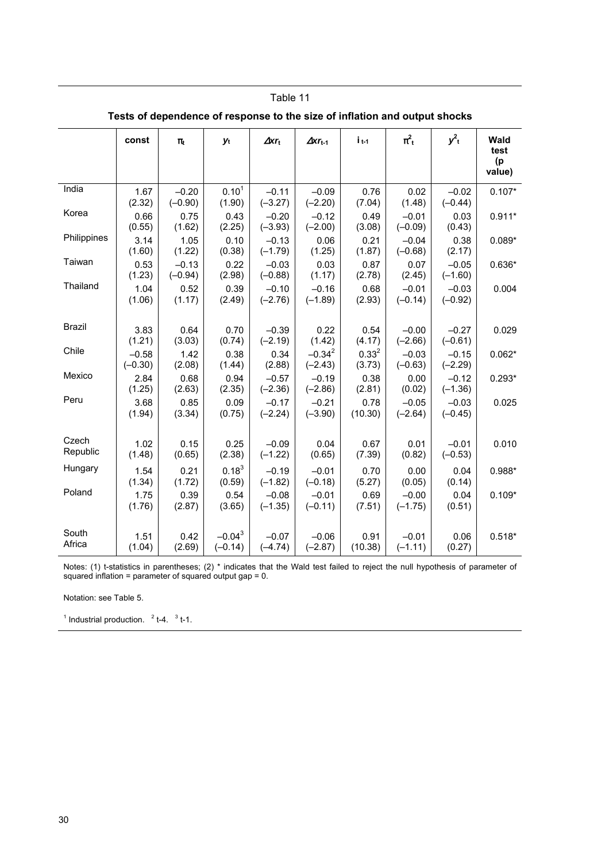| Tests of dependence of response to the size of inflation and output shocks |                      |                      |                        |                      |                            |                      |                      |                      |                                     |
|----------------------------------------------------------------------------|----------------------|----------------------|------------------------|----------------------|----------------------------|----------------------|----------------------|----------------------|-------------------------------------|
|                                                                            | const                | $\pi_t$              | yt                     | $\Delta$ xrt         | $\Delta$ xr <sub>t-1</sub> | $i_{t-1}$            | $\pi^2$ <sub>t</sub> | $y_t^2$              | <b>Wald</b><br>test<br>(p<br>value) |
| India                                                                      | 1.67<br>(2.32)       | $-0.20$<br>$(-0.90)$ | $0.10^{1}$<br>(1.90)   | $-0.11$<br>$(-3.27)$ | $-0.09$<br>$(-2.20)$       | 0.76<br>(7.04)       | 0.02<br>(1.48)       | $-0.02$<br>$(-0.44)$ | $0.107*$                            |
| Korea                                                                      | 0.66<br>(0.55)       | 0.75<br>(1.62)       | 0.43<br>(2.25)         | $-0.20$<br>$(-3.93)$ | $-0.12$<br>$(-2.00)$       | 0.49<br>(3.08)       | $-0.01$<br>$(-0.09)$ | 0.03<br>(0.43)       | $0.911*$                            |
| Philippines                                                                | 3.14<br>(1.60)       | 1.05<br>(1.22)       | 0.10<br>(0.38)         | $-0.13$<br>$(-1.79)$ | 0.06<br>(1.25)             | 0.21<br>(1.87)       | $-0.04$<br>$(-0.68)$ | 0.38<br>(2.17)       | $0.089*$                            |
| Taiwan                                                                     | 0.53<br>(1.23)       | $-0.13$<br>$(-0.94)$ | 0.22<br>(2.98)         | $-0.03$<br>$(-0.88)$ | 0.03<br>(1.17)             | 0.87<br>(2.78)       | 0.07<br>(2.45)       | $-0.05$<br>$(-1.60)$ | $0.636*$                            |
| Thailand                                                                   | 1.04<br>(1.06)       | 0.52<br>(1.17)       | 0.39<br>(2.49)         | $-0.10$<br>$(-2.76)$ | $-0.16$<br>$(-1.89)$       | 0.68<br>(2.93)       | $-0.01$<br>$(-0.14)$ | $-0.03$<br>$(-0.92)$ | 0.004                               |
| <b>Brazil</b>                                                              | 3.83<br>(1.21)       | 0.64<br>(3.03)       | 0.70<br>(0.74)         | $-0.39$<br>$(-2.19)$ | 0.22<br>(1.42)             | 0.54<br>(4.17)       | $-0.00$<br>$(-2.66)$ | $-0.27$<br>$(-0.61)$ | 0.029                               |
| Chile                                                                      | $-0.58$<br>$(-0.30)$ | 1.42<br>(2.08)       | 0.38<br>(1.44)         | 0.34<br>(2.88)       | $-0.34^{2}$<br>$(-2.43)$   | $0.33^{2}$<br>(3.73) | $-0.03$<br>$(-0.63)$ | $-0.15$<br>$(-2.29)$ | $0.062*$                            |
| Mexico                                                                     | 2.84<br>(1.25)       | 0.68<br>(2.63)       | 0.94<br>(2.35)         | $-0.57$<br>$(-2.36)$ | $-0.19$<br>$(-2.86)$       | 0.38<br>(2.81)       | 0.00<br>(0.02)       | $-0.12$<br>$(-1.36)$ | $0.293*$                            |
| Peru                                                                       | 3.68<br>(1.94)       | 0.85<br>(3.34)       | 0.09<br>(0.75)         | $-0.17$<br>$(-2.24)$ | $-0.21$<br>$(-3.90)$       | 0.78<br>(10.30)      | $-0.05$<br>$(-2.64)$ | $-0.03$<br>$(-0.45)$ | 0.025                               |
| Czech<br>Republic                                                          | 1.02<br>(1.48)       | 0.15<br>(0.65)       | 0.25<br>(2.38)         | $-0.09$<br>$(-1.22)$ | 0.04<br>(0.65)             | 0.67<br>(7.39)       | 0.01<br>(0.82)       | $-0.01$<br>$(-0.53)$ | 0.010                               |
| Hungary                                                                    | 1.54<br>(1.34)       | 0.21<br>(1.72)       | $0.18^{3}$<br>(0.59)   | $-0.19$<br>$(-1.82)$ | $-0.01$<br>$(-0.18)$       | 0.70<br>(5.27)       | 0.00<br>(0.05)       | 0.04<br>(0.14)       | $0.988*$                            |
| Poland                                                                     | 1.75<br>(1.76)       | 0.39<br>(2.87)       | 0.54<br>(3.65)         | $-0.08$<br>$(-1.35)$ | $-0.01$<br>$(-0.11)$       | 0.69<br>(7.51)       | $-0.00$<br>$(-1.75)$ | 0.04<br>(0.51)       | $0.109*$                            |
| South<br>Africa                                                            | 1.51<br>(1.04)       | 0.42<br>(2.69)       | $-0.04^3$<br>$(-0.14)$ | $-0.07$<br>$(-4.74)$ | $-0.06$<br>$(-2.87)$       | 0.91<br>(10.38)      | $-0.01$<br>$(-1.11)$ | 0.06<br>(0.27)       | $0.518*$                            |

Notes: (1) t-statistics in parentheses; (2) \* indicates that the Wald test failed to reject the null hypothesis of parameter of squared inflation = parameter of squared output gap = 0.

Notation: see Table 5.

<sup>1</sup> Industrial production.  $2 + 4$ ,  $3 + 1$ .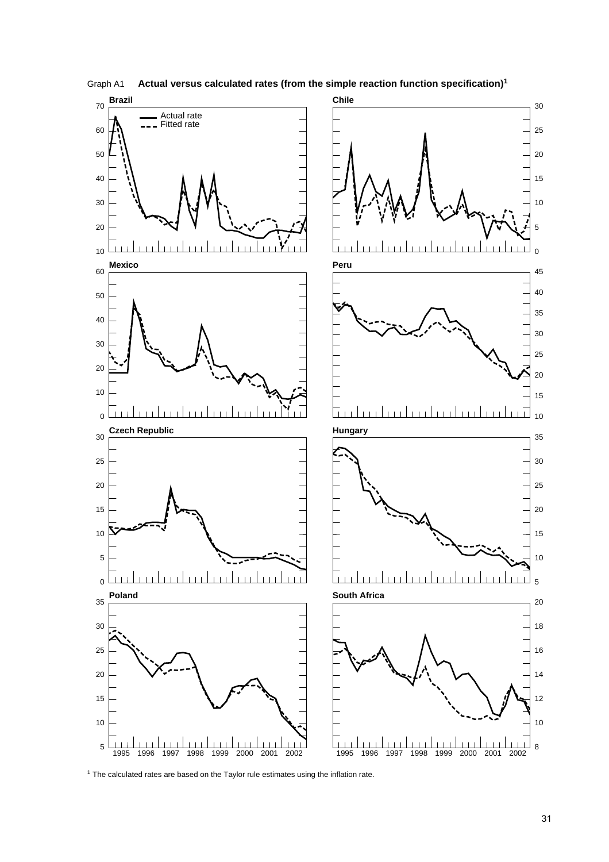

Graph A1 **Actual versus calculated rates (from the simple reaction function specification)<sup>1</sup>**

<sup>1</sup> The calculated rates are based on the Taylor rule estimates using the inflation rate.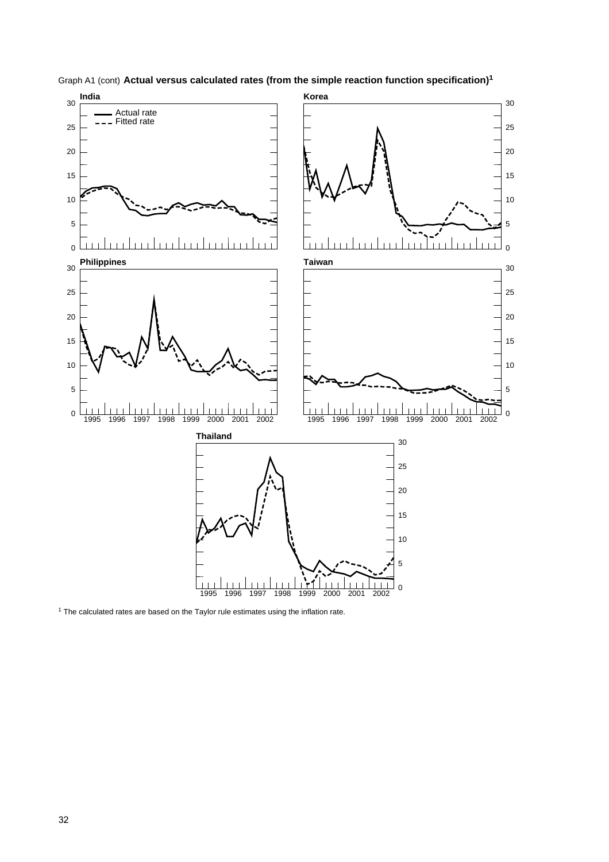

Graph A1 (cont) **Actual versus calculated rates (from the simple reaction function specification)<sup>1</sup>**

<sup>1</sup> The calculated rates are based on the Taylor rule estimates using the inflation rate.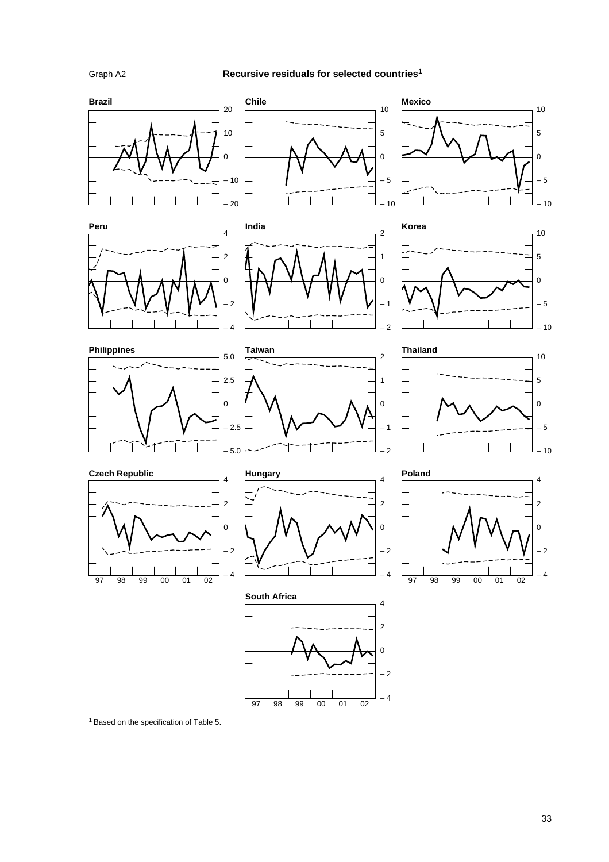#### **Recursive residuals for selected countries1**



– 4

97 98 99 00 01 02

1 Based on the specification of Table 5.